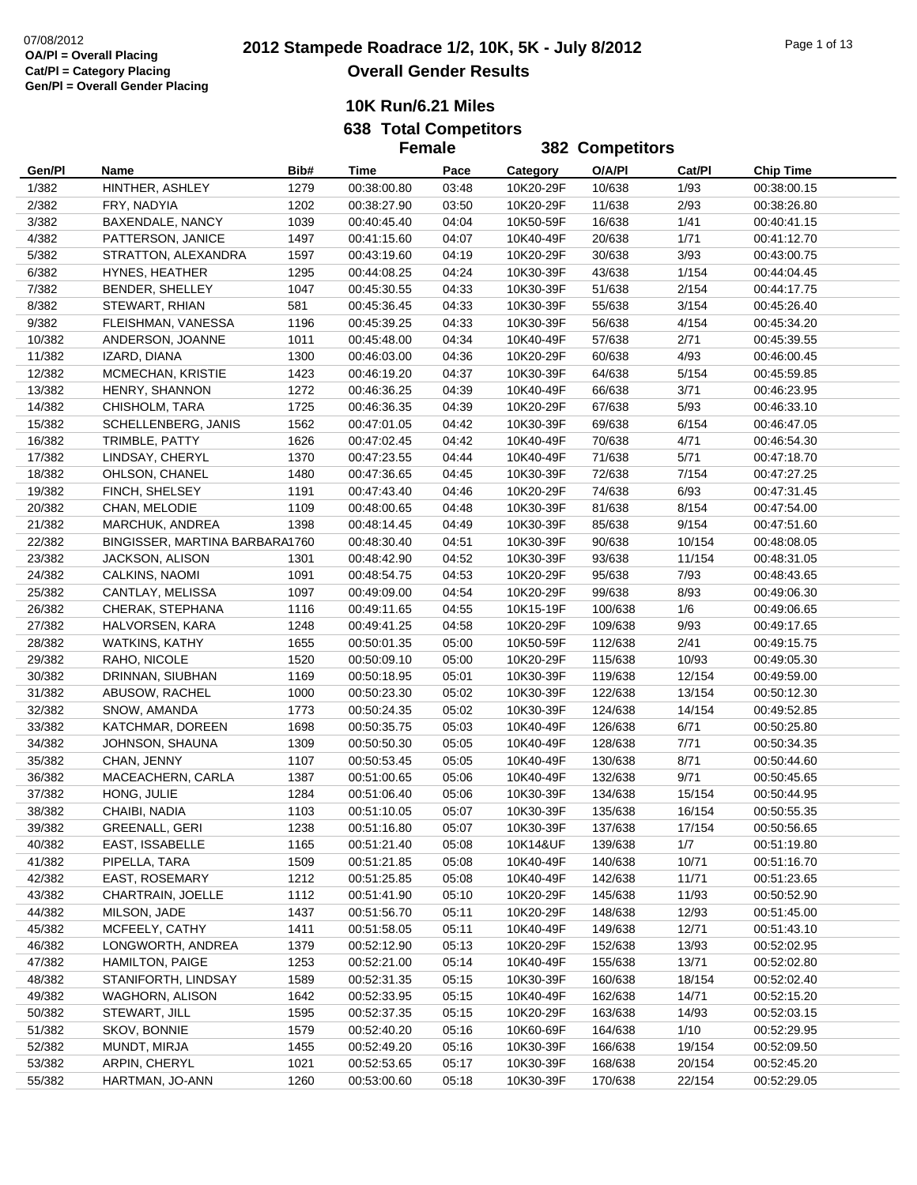|        |                                |      | <b>Female</b> |       |           | 382 Competitors |        |                  |
|--------|--------------------------------|------|---------------|-------|-----------|-----------------|--------|------------------|
| Gen/Pl | Name                           | Bib# | Time          | Pace  | Category  | O/A/PI          | Cat/Pl | <b>Chip Time</b> |
| 1/382  | HINTHER, ASHLEY                | 1279 | 00:38:00.80   | 03:48 | 10K20-29F | 10/638          | 1/93   | 00:38:00.15      |
| 2/382  | FRY, NADYIA                    | 1202 | 00:38:27.90   | 03:50 | 10K20-29F | 11/638          | 2/93   | 00:38:26.80      |
| 3/382  | BAXENDALE, NANCY               | 1039 | 00:40:45.40   | 04:04 | 10K50-59F | 16/638          | 1/41   | 00:40:41.15      |
| 4/382  | PATTERSON, JANICE              | 1497 | 00:41:15.60   | 04:07 | 10K40-49F | 20/638          | 1/71   | 00:41:12.70      |
| 5/382  | STRATTON, ALEXANDRA            | 1597 | 00:43:19.60   | 04:19 | 10K20-29F | 30/638          | 3/93   | 00:43:00.75      |
| 6/382  | HYNES, HEATHER                 | 1295 | 00:44:08.25   | 04:24 | 10K30-39F | 43/638          | 1/154  | 00:44:04.45      |
| 7/382  | BENDER, SHELLEY                | 1047 | 00:45:30.55   | 04:33 | 10K30-39F | 51/638          | 2/154  | 00:44:17.75      |
| 8/382  | STEWART, RHIAN                 | 581  | 00:45:36.45   | 04:33 | 10K30-39F | 55/638          | 3/154  | 00:45:26.40      |
| 9/382  | FLEISHMAN, VANESSA             | 1196 | 00:45:39.25   | 04:33 | 10K30-39F | 56/638          | 4/154  | 00:45:34.20      |
| 10/382 | ANDERSON, JOANNE               | 1011 | 00:45:48.00   | 04:34 | 10K40-49F | 57/638          | 2/71   | 00:45:39.55      |
| 11/382 | IZARD, DIANA                   | 1300 | 00:46:03.00   | 04:36 | 10K20-29F | 60/638          | 4/93   | 00:46:00.45      |
| 12/382 | MCMECHAN, KRISTIE              | 1423 | 00:46:19.20   | 04:37 | 10K30-39F | 64/638          | 5/154  | 00:45:59.85      |
| 13/382 | HENRY, SHANNON                 | 1272 | 00:46:36.25   | 04:39 | 10K40-49F | 66/638          | 3/71   | 00:46:23.95      |
| 14/382 | CHISHOLM, TARA                 | 1725 | 00:46:36.35   | 04:39 | 10K20-29F | 67/638          | 5/93   | 00:46:33.10      |
| 15/382 | SCHELLENBERG, JANIS            | 1562 | 00:47:01.05   | 04:42 | 10K30-39F | 69/638          | 6/154  | 00:46:47.05      |
| 16/382 | TRIMBLE, PATTY                 | 1626 | 00:47:02.45   | 04:42 | 10K40-49F | 70/638          | 4/71   | 00:46:54.30      |
| 17/382 | LINDSAY, CHERYL                | 1370 | 00:47:23.55   | 04:44 | 10K40-49F | 71/638          | 5/71   | 00:47:18.70      |
| 18/382 | OHLSON, CHANEL                 | 1480 | 00:47:36.65   | 04:45 | 10K30-39F | 72/638          | 7/154  | 00:47:27.25      |
| 19/382 | FINCH, SHELSEY                 | 1191 | 00:47:43.40   | 04:46 | 10K20-29F | 74/638          | 6/93   | 00:47:31.45      |
| 20/382 | CHAN, MELODIE                  | 1109 | 00:48:00.65   | 04:48 | 10K30-39F | 81/638          | 8/154  | 00:47:54.00      |
| 21/382 | MARCHUK, ANDREA                | 1398 | 00:48:14.45   | 04:49 | 10K30-39F | 85/638          | 9/154  | 00:47:51.60      |
| 22/382 | BINGISSER, MARTINA BARBARA1760 |      | 00:48:30.40   | 04:51 | 10K30-39F | 90/638          | 10/154 | 00:48:08.05      |
| 23/382 | JACKSON, ALISON                | 1301 | 00:48:42.90   | 04:52 | 10K30-39F | 93/638          | 11/154 | 00:48:31.05      |
| 24/382 | CALKINS, NAOMI                 | 1091 | 00:48:54.75   | 04:53 | 10K20-29F | 95/638          | 7/93   | 00:48:43.65      |
| 25/382 | CANTLAY, MELISSA               | 1097 | 00:49:09.00   | 04:54 | 10K20-29F | 99/638          | 8/93   | 00:49:06.30      |
| 26/382 | CHERAK, STEPHANA               | 1116 | 00:49:11.65   | 04:55 | 10K15-19F | 100/638         | 1/6    | 00:49:06.65      |
| 27/382 | HALVORSEN, KARA                | 1248 | 00:49:41.25   | 04:58 | 10K20-29F | 109/638         | 9/93   | 00:49:17.65      |
| 28/382 | <b>WATKINS, KATHY</b>          | 1655 | 00:50:01.35   | 05:00 | 10K50-59F | 112/638         | 2/41   | 00:49:15.75      |
| 29/382 | RAHO, NICOLE                   | 1520 | 00:50:09.10   | 05:00 | 10K20-29F | 115/638         | 10/93  | 00:49:05.30      |
| 30/382 | DRINNAN, SIUBHAN               | 1169 | 00:50:18.95   | 05:01 | 10K30-39F | 119/638         | 12/154 | 00:49:59.00      |
| 31/382 | ABUSOW, RACHEL                 | 1000 | 00:50:23.30   | 05:02 | 10K30-39F | 122/638         | 13/154 | 00:50:12.30      |
| 32/382 | SNOW, AMANDA                   | 1773 | 00:50:24.35   | 05:02 | 10K30-39F | 124/638         | 14/154 | 00:49:52.85      |
| 33/382 | KATCHMAR, DOREEN               | 1698 | 00:50:35.75   | 05:03 | 10K40-49F | 126/638         | 6/71   | 00:50:25.80      |
| 34/382 | JOHNSON, SHAUNA                | 1309 | 00:50:50.30   | 05:05 | 10K40-49F | 128/638         | 7/71   | 00:50:34.35      |
| 35/382 | CHAN, JENNY                    | 1107 | 00:50:53.45   | 05:05 | 10K40-49F | 130/638         | 8/71   | 00:50:44.60      |
| 36/382 | MACEACHERN, CARLA              | 1387 | 00:51:00.65   | 05:06 | 10K40-49F | 132/638         | 9/71   | 00:50:45.65      |
| 37/382 | HONG, JULIE                    | 1284 | 00:51:06.40   | 05:06 | 10K30-39F | 134/638         | 15/154 | 00:50:44.95      |
| 38/382 | CHAIBI, NADIA                  | 1103 | 00:51:10.05   | 05:07 | 10K30-39F | 135/638         | 16/154 | 00:50:55.35      |
| 39/382 | <b>GREENALL, GERI</b>          | 1238 | 00:51:16.80   | 05:07 | 10K30-39F | 137/638         | 17/154 | 00:50:56.65      |
| 40/382 | EAST, ISSABELLE                | 1165 | 00:51:21.40   | 05:08 | 10K14&UF  | 139/638         | 1/7    | 00:51:19.80      |
| 41/382 | PIPELLA, TARA                  | 1509 | 00:51:21.85   | 05:08 | 10K40-49F | 140/638         | 10/71  | 00:51:16.70      |
| 42/382 | <b>EAST, ROSEMARY</b>          | 1212 | 00:51:25.85   | 05:08 | 10K40-49F | 142/638         | 11/71  | 00:51:23.65      |
| 43/382 | CHARTRAIN, JOELLE              | 1112 | 00:51:41.90   | 05:10 | 10K20-29F | 145/638         | 11/93  | 00:50:52.90      |
| 44/382 | MILSON, JADE                   | 1437 | 00:51:56.70   | 05:11 | 10K20-29F | 148/638         | 12/93  | 00:51:45.00      |
| 45/382 | MCFEELY, CATHY                 | 1411 | 00:51:58.05   | 05:11 | 10K40-49F | 149/638         | 12/71  | 00:51:43.10      |
| 46/382 | LONGWORTH, ANDREA              | 1379 | 00:52:12.90   | 05:13 | 10K20-29F | 152/638         | 13/93  | 00:52:02.95      |
| 47/382 | HAMILTON, PAIGE                | 1253 | 00:52:21.00   | 05:14 | 10K40-49F | 155/638         | 13/71  | 00:52:02.80      |
| 48/382 | STANIFORTH, LINDSAY            | 1589 | 00:52:31.35   | 05:15 | 10K30-39F | 160/638         | 18/154 | 00:52:02.40      |
| 49/382 | WAGHORN, ALISON                | 1642 | 00:52:33.95   | 05:15 | 10K40-49F | 162/638         | 14/71  | 00:52:15.20      |
| 50/382 | STEWART, JILL                  | 1595 | 00:52:37.35   | 05:15 | 10K20-29F | 163/638         | 14/93  | 00:52:03.15      |
| 51/382 | SKOV, BONNIE                   | 1579 | 00:52:40.20   | 05:16 | 10K60-69F | 164/638         | 1/10   | 00:52:29.95      |
| 52/382 | MUNDT, MIRJA                   | 1455 | 00:52:49.20   | 05:16 | 10K30-39F | 166/638         | 19/154 | 00:52:09.50      |
| 53/382 | ARPIN, CHERYL                  | 1021 | 00:52:53.65   | 05:17 | 10K30-39F | 168/638         | 20/154 | 00:52:45.20      |
| 55/382 | HARTMAN, JO-ANN                | 1260 | 00:53:00.60   | 05:18 | 10K30-39F | 170/638         | 22/154 | 00:52:29.05      |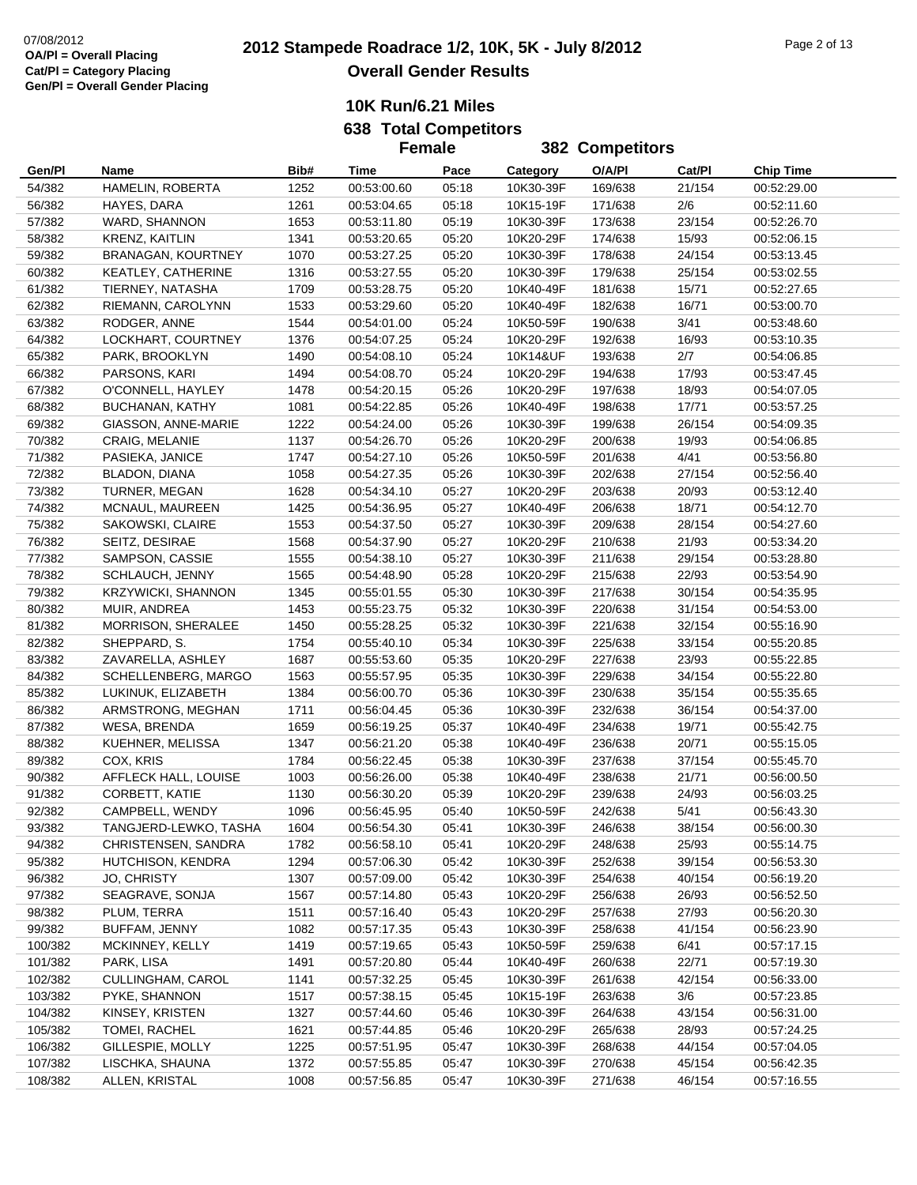**638 Total Competitors Female**

|                  |                                          |              | <b>Female</b>              |                | <b>382 Competitors</b> |                    |                 |                            |
|------------------|------------------------------------------|--------------|----------------------------|----------------|------------------------|--------------------|-----------------|----------------------------|
| Gen/Pl           | Name                                     | Bib#         | Time                       | Pace           | Category               | O/A/PI             | Cat/PI          | <b>Chip Time</b>           |
| 54/382           | HAMELIN, ROBERTA                         | 1252         | 00:53:00.60                | 05:18          | 10K30-39F              | 169/638            | 21/154          | 00:52:29.00                |
| 56/382           | HAYES, DARA                              | 1261         | 00:53:04.65                | 05:18          | 10K15-19F              | 171/638            | 2/6             | 00:52:11.60                |
| 57/382           | WARD, SHANNON                            | 1653         | 00:53:11.80                | 05:19          | 10K30-39F              | 173/638            | 23/154          | 00:52:26.70                |
| 58/382           | <b>KRENZ, KAITLIN</b>                    | 1341         | 00:53:20.65                | 05:20          | 10K20-29F              | 174/638            | 15/93           | 00:52:06.15                |
| 59/382           | BRANAGAN, KOURTNEY                       | 1070         | 00:53:27.25                | 05:20          | 10K30-39F              | 178/638            | 24/154          | 00:53:13.45                |
| 60/382           | KEATLEY, CATHERINE                       | 1316         | 00:53:27.55                | 05:20          | 10K30-39F              | 179/638            | 25/154          | 00:53:02.55                |
| 61/382           | TIERNEY, NATASHA                         | 1709         | 00:53:28.75                | 05:20          | 10K40-49F              | 181/638            | 15/71           | 00:52:27.65                |
| 62/382           | RIEMANN, CAROLYNN                        | 1533         | 00:53:29.60                | 05:20          | 10K40-49F              | 182/638            | 16/71           | 00:53:00.70                |
| 63/382           | RODGER, ANNE                             | 1544         | 00:54:01.00                | 05:24          | 10K50-59F              | 190/638            | 3/41            | 00:53:48.60                |
| 64/382           | LOCKHART, COURTNEY                       | 1376         | 00:54:07.25                | 05:24          | 10K20-29F              | 192/638            | 16/93           | 00:53:10.35                |
| 65/382           | PARK, BROOKLYN                           | 1490         | 00:54:08.10                | 05:24          | 10K14&UF               | 193/638            | 2/7             | 00:54:06.85                |
| 66/382           | PARSONS, KARI                            | 1494         | 00:54:08.70                | 05:24          | 10K20-29F              | 194/638            | 17/93           | 00:53:47.45                |
| 67/382           | O'CONNELL, HAYLEY                        | 1478         | 00:54:20.15                | 05:26          | 10K20-29F              | 197/638            | 18/93           | 00:54:07.05                |
| 68/382           | BUCHANAN, KATHY                          | 1081         | 00:54:22.85                | 05:26          | 10K40-49F              | 198/638            | 17/71           | 00:53:57.25                |
| 69/382           | GIASSON, ANNE-MARIE                      | 1222         | 00:54:24.00                | 05:26          | 10K30-39F              | 199/638            | 26/154          | 00:54:09.35                |
| 70/382           | CRAIG, MELANIE                           | 1137         | 00:54:26.70                | 05:26          | 10K20-29F              | 200/638            | 19/93           | 00:54:06.85                |
| 71/382           | PASIEKA, JANICE                          | 1747         | 00:54:27.10                | 05:26          | 10K50-59F              | 201/638            | 4/41            | 00:53:56.80                |
| 72/382           | BLADON, DIANA                            | 1058         | 00:54:27.35                | 05:26          | 10K30-39F              | 202/638            | 27/154          | 00:52:56.40                |
| 73/382           | TURNER, MEGAN                            | 1628         | 00:54:34.10                | 05:27          | 10K20-29F              | 203/638            | 20/93           | 00:53:12.40                |
| 74/382           | MCNAUL, MAUREEN                          | 1425         | 00:54:36.95                | 05:27          | 10K40-49F              | 206/638            | 18/71           | 00:54:12.70                |
| 75/382           | SAKOWSKI, CLAIRE                         | 1553         | 00:54:37.50                | 05:27          | 10K30-39F              | 209/638            | 28/154          | 00:54:27.60                |
| 76/382           | SEITZ, DESIRAE                           | 1568         | 00:54:37.90                | 05:27          | 10K20-29F              | 210/638            | 21/93           | 00:53:34.20                |
| 77/382           | SAMPSON, CASSIE                          | 1555         | 00:54:38.10                | 05:27          | 10K30-39F              | 211/638            | 29/154          | 00:53:28.80                |
| 78/382           | SCHLAUCH, JENNY                          | 1565         | 00:54:48.90                | 05:28          | 10K20-29F              | 215/638            | 22/93           | 00:53:54.90                |
| 79/382           | KRZYWICKI, SHANNON                       | 1345         | 00:55:01.55                | 05:30          | 10K30-39F              | 217/638            | 30/154          | 00:54:35.95                |
| 80/382           | MUIR, ANDREA                             | 1453         | 00:55:23.75                | 05:32          | 10K30-39F              | 220/638            | 31/154          | 00:54:53.00                |
| 81/382           | MORRISON, SHERALEE                       | 1450         | 00:55:28.25                | 05:32          | 10K30-39F              | 221/638            | 32/154          | 00:55:16.90                |
| 82/382           | SHEPPARD, S.                             | 1754         | 00:55:40.10                | 05:34          | 10K30-39F              | 225/638            | 33/154          | 00:55:20.85                |
| 83/382           | ZAVARELLA, ASHLEY                        | 1687         | 00:55:53.60                | 05:35          | 10K20-29F              | 227/638            | 23/93           | 00:55:22.85                |
| 84/382           | SCHELLENBERG, MARGO                      | 1563         | 00:55:57.95                | 05:35          | 10K30-39F              | 229/638            | 34/154          | 00:55:22.80                |
| 85/382           | LUKINUK, ELIZABETH                       | 1384         | 00:56:00.70                | 05:36          | 10K30-39F              | 230/638            | 35/154          | 00:55:35.65                |
| 86/382           | ARMSTRONG, MEGHAN                        | 1711         | 00:56:04.45                | 05:36          | 10K30-39F              | 232/638            | 36/154          | 00:54:37.00                |
| 87/382           | WESA, BRENDA                             | 1659         | 00:56:19.25                | 05:37          | 10K40-49F              | 234/638            | 19/71           | 00:55:42.75                |
| 88/382           | KUEHNER, MELISSA                         | 1347         | 00:56:21.20                | 05:38          | 10K40-49F              | 236/638            | 20/71           | 00:55:15.05                |
| 89/382           | COX, KRIS                                | 1784         | 00:56:22.45                | 05:38          | 10K30-39F              | 237/638            | 37/154          | 00:55:45.70                |
| 90/382           | AFFLECK HALL, LOUISE                     | 1003         | 00:56:26.00                | 05:38          | 10K40-49F              | 238/638            | 21/71           | 00:56:00.50                |
| 91/382           | CORBETT, KATIE                           | 1130         | 00:56:30.20                | 05:39          | 10K20-29F              | 239/638            | 24/93           | 00:56:03.25                |
| 92/382           | CAMPBELL, WENDY                          | 1096         | 00:56:45.95                | 05:40          | 10K50-59F              | 242/638            | 5/41            | 00:56:43.30                |
| 93/382           | TANGJERD-LEWKO, TASHA                    | 1604         | 00:56:54.30                | 05:41          | 10K30-39F              | 246/638            | 38/154          | 00:56:00.30                |
| 94/382           | CHRISTENSEN, SANDRA<br>HUTCHISON, KENDRA | 1782         | 00:56:58.10                | 05:41          | 10K20-29F              | 248/638            | 25/93           | 00:55:14.75                |
| 95/382           |                                          | 1294         | 00:57:06.30                | 05:42          | 10K30-39F<br>10K30-39F | 252/638            | 39/154          | 00:56:53.30                |
| 96/382           | JO, CHRISTY<br>SEAGRAVE, SONJA           | 1307         | 00:57:09.00                | 05:42          |                        | 254/638            | 40/154          | 00:56:19.20                |
| 97/382<br>98/382 | PLUM, TERRA                              | 1567         | 00:57:14.80<br>00:57:16.40 | 05:43<br>05:43 | 10K20-29F<br>10K20-29F | 256/638            | 26/93           | 00:56:52.50<br>00:56:20.30 |
| 99/382           | BUFFAM, JENNY                            | 1511         |                            | 05:43          | 10K30-39F              | 257/638            | 27/93<br>41/154 |                            |
| 100/382          | MCKINNEY, KELLY                          | 1082<br>1419 | 00:57:17.35<br>00:57:19.65 | 05:43          | 10K50-59F              | 258/638            | 6/41            | 00:56:23.90<br>00:57:17.15 |
| 101/382          | PARK, LISA                               | 1491         | 00:57:20.80                | 05:44          | 10K40-49F              | 259/638<br>260/638 | 22/71           | 00:57:19.30                |
| 102/382          | CULLINGHAM, CAROL                        | 1141         | 00:57:32.25                | 05:45          | 10K30-39F              | 261/638            | 42/154          | 00:56:33.00                |
| 103/382          | PYKE, SHANNON                            | 1517         | 00:57:38.15                | 05:45          | 10K15-19F              | 263/638            | 3/6             | 00:57:23.85                |
| 104/382          | KINSEY, KRISTEN                          | 1327         | 00:57:44.60                | 05:46          | 10K30-39F              | 264/638            | 43/154          | 00:56:31.00                |
| 105/382          | TOMEI, RACHEL                            | 1621         | 00:57:44.85                | 05:46          | 10K20-29F              | 265/638            | 28/93           | 00:57:24.25                |
| 106/382          | GILLESPIE, MOLLY                         | 1225         | 00:57:51.95                | 05:47          | 10K30-39F              | 268/638            | 44/154          | 00:57:04.05                |
| 107/382          | LISCHKA, SHAUNA                          | 1372         | 00:57:55.85                | 05:47          | 10K30-39F              | 270/638            | 45/154          | 00:56:42.35                |
| 108/382          | ALLEN, KRISTAL                           | 1008         | 00:57:56.85                | 05:47          | 10K30-39F              | 271/638            | 46/154          | 00:57:16.55                |
|                  |                                          |              |                            |                |                        |                    |                 |                            |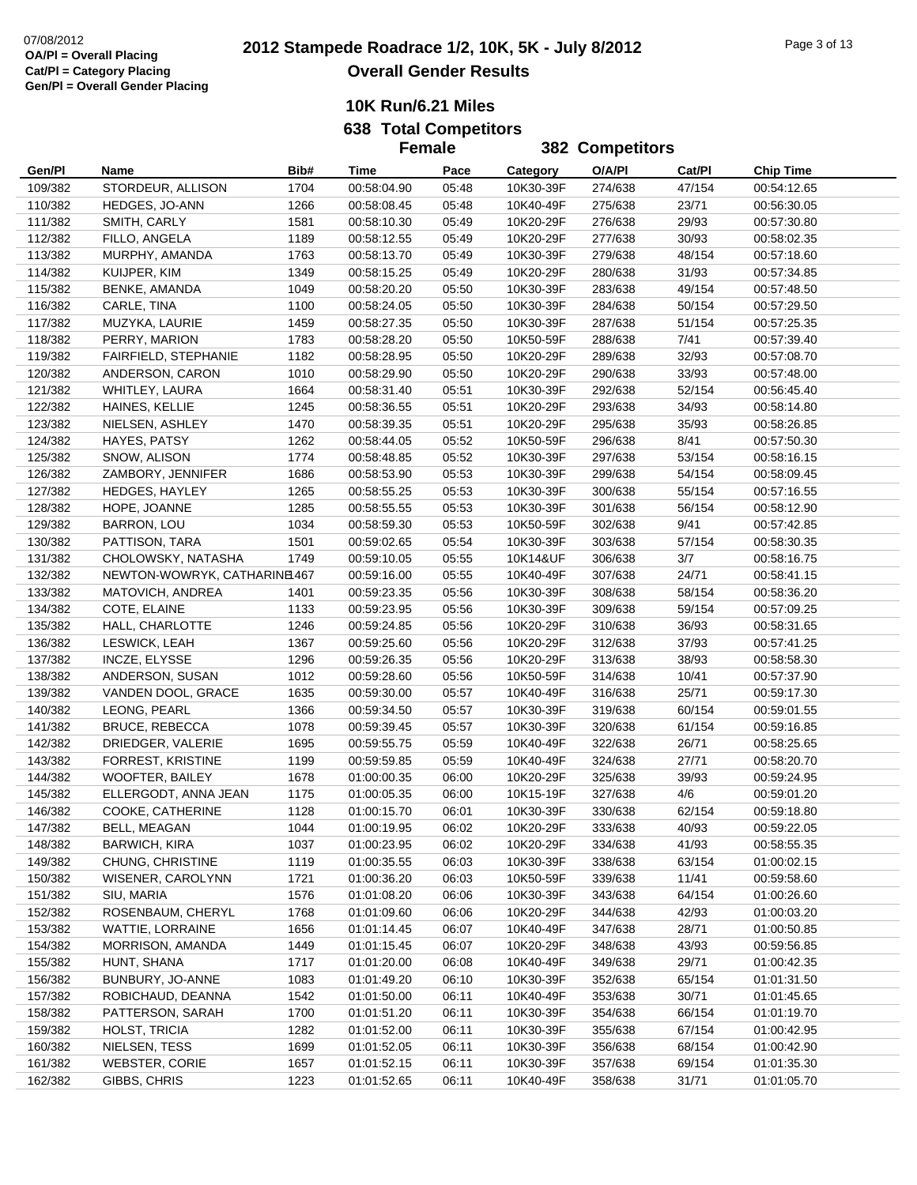|         |                              |      | <b>Female</b> |       |           | <b>382 Competitors</b> |        |                  |
|---------|------------------------------|------|---------------|-------|-----------|------------------------|--------|------------------|
| Gen/Pl  | Name                         | Bib# | Time          | Pace  | Category  | O/A/PI                 | Cat/PI | <b>Chip Time</b> |
| 109/382 | STORDEUR, ALLISON            | 1704 | 00:58:04.90   | 05:48 | 10K30-39F | 274/638                | 47/154 | 00:54:12.65      |
| 110/382 | HEDGES, JO-ANN               | 1266 | 00:58:08.45   | 05:48 | 10K40-49F | 275/638                | 23/71  | 00:56:30.05      |
| 111/382 | SMITH, CARLY                 | 1581 | 00:58:10.30   | 05:49 | 10K20-29F | 276/638                | 29/93  | 00:57:30.80      |
| 112/382 | FILLO, ANGELA                | 1189 | 00:58:12.55   | 05:49 | 10K20-29F | 277/638                | 30/93  | 00:58:02.35      |
| 113/382 | MURPHY, AMANDA               | 1763 | 00:58:13.70   | 05:49 | 10K30-39F | 279/638                | 48/154 | 00:57:18.60      |
| 114/382 | KUIJPER, KIM                 | 1349 | 00:58:15.25   | 05:49 | 10K20-29F | 280/638                | 31/93  | 00:57:34.85      |
| 115/382 | BENKE, AMANDA                | 1049 | 00:58:20.20   | 05:50 | 10K30-39F | 283/638                | 49/154 | 00:57:48.50      |
| 116/382 | CARLE, TINA                  | 1100 | 00:58:24.05   | 05:50 | 10K30-39F | 284/638                | 50/154 | 00:57:29.50      |
| 117/382 | MUZYKA, LAURIE               | 1459 | 00:58:27.35   | 05:50 | 10K30-39F | 287/638                | 51/154 | 00:57:25.35      |
| 118/382 | PERRY, MARION                | 1783 | 00:58:28.20   | 05:50 | 10K50-59F | 288/638                | 7/41   | 00:57:39.40      |
| 119/382 | FAIRFIELD, STEPHANIE         | 1182 | 00:58:28.95   | 05:50 | 10K20-29F | 289/638                | 32/93  | 00:57:08.70      |
| 120/382 | ANDERSON, CARON              | 1010 | 00:58:29.90   | 05:50 | 10K20-29F | 290/638                | 33/93  | 00:57:48.00      |
| 121/382 | WHITLEY, LAURA               | 1664 | 00:58:31.40   | 05:51 | 10K30-39F | 292/638                | 52/154 | 00:56:45.40      |
| 122/382 | HAINES, KELLIE               | 1245 | 00:58:36.55   | 05:51 | 10K20-29F | 293/638                | 34/93  | 00:58:14.80      |
| 123/382 | NIELSEN, ASHLEY              | 1470 | 00:58:39.35   | 05:51 | 10K20-29F | 295/638                | 35/93  | 00:58:26.85      |
| 124/382 | HAYES, PATSY                 | 1262 | 00:58:44.05   | 05:52 | 10K50-59F | 296/638                | 8/41   | 00:57:50.30      |
| 125/382 | SNOW, ALISON                 | 1774 | 00:58:48.85   | 05:52 | 10K30-39F | 297/638                | 53/154 | 00:58:16.15      |
| 126/382 | ZAMBORY, JENNIFER            | 1686 | 00:58:53.90   | 05:53 | 10K30-39F | 299/638                | 54/154 | 00:58:09.45      |
| 127/382 | <b>HEDGES, HAYLEY</b>        | 1265 | 00:58:55.25   | 05:53 | 10K30-39F | 300/638                | 55/154 | 00:57:16.55      |
| 128/382 | HOPE, JOANNE                 | 1285 | 00:58:55.55   | 05:53 | 10K30-39F | 301/638                | 56/154 | 00:58:12.90      |
| 129/382 | BARRON, LOU                  | 1034 | 00:58:59.30   | 05:53 | 10K50-59F | 302/638                | 9/41   | 00:57:42.85      |
| 130/382 | PATTISON, TARA               | 1501 | 00:59:02.65   | 05:54 | 10K30-39F | 303/638                | 57/154 | 00:58:30.35      |
| 131/382 | CHOLOWSKY, NATASHA           | 1749 | 00:59:10.05   | 05:55 | 10K14&UF  | 306/638                | 3/7    | 00:58:16.75      |
| 132/382 | NEWTON-WOWRYK, CATHARINE 467 |      | 00:59:16.00   | 05:55 | 10K40-49F | 307/638                | 24/71  | 00:58:41.15      |
| 133/382 | MATOVICH, ANDREA             | 1401 | 00:59:23.35   | 05:56 | 10K30-39F | 308/638                | 58/154 | 00:58:36.20      |
| 134/382 | COTE, ELAINE                 | 1133 | 00:59:23.95   | 05:56 | 10K30-39F | 309/638                | 59/154 | 00:57:09.25      |
| 135/382 | HALL, CHARLOTTE              | 1246 | 00:59:24.85   | 05:56 | 10K20-29F | 310/638                | 36/93  | 00:58:31.65      |
| 136/382 | LESWICK, LEAH                | 1367 | 00:59:25.60   | 05:56 | 10K20-29F | 312/638                | 37/93  | 00:57:41.25      |
| 137/382 | INCZE, ELYSSE                | 1296 | 00:59:26.35   | 05:56 | 10K20-29F | 313/638                | 38/93  | 00:58:58.30      |
| 138/382 | ANDERSON, SUSAN              | 1012 | 00:59:28.60   | 05:56 | 10K50-59F | 314/638                | 10/41  | 00:57:37.90      |
| 139/382 | VANDEN DOOL, GRACE           | 1635 | 00:59:30.00   | 05:57 | 10K40-49F | 316/638                | 25/71  | 00:59:17.30      |
| 140/382 | LEONG, PEARL                 | 1366 | 00:59:34.50   | 05:57 | 10K30-39F | 319/638                | 60/154 | 00:59:01.55      |
| 141/382 | <b>BRUCE, REBECCA</b>        | 1078 | 00:59:39.45   | 05:57 | 10K30-39F | 320/638                | 61/154 | 00:59:16.85      |
| 142/382 | DRIEDGER, VALERIE            | 1695 | 00:59:55.75   | 05:59 | 10K40-49F | 322/638                | 26/71  | 00:58:25.65      |
| 143/382 | FORREST, KRISTINE            | 1199 | 00:59:59.85   | 05:59 | 10K40-49F | 324/638                | 27/71  | 00:58:20.70      |
| 144/382 | WOOFTER, BAILEY              | 1678 | 01:00:00.35   | 06:00 | 10K20-29F | 325/638                | 39/93  | 00:59:24.95      |
| 145/382 | ELLERGODT, ANNA JEAN         | 1175 | 01:00:05.35   | 06:00 | 10K15-19F | 327/638                | 4/6    | 00:59:01.20      |
| 146/382 | COOKE, CATHERINE             | 1128 | 01:00:15.70   | 06:01 | 10K30-39F | 330/638                | 62/154 | 00:59:18.80      |
| 147/382 | BELL, MEAGAN                 | 1044 | 01:00:19.95   | 06:02 | 10K20-29F | 333/638                | 40/93  | 00:59:22.05      |
| 148/382 | <b>BARWICH, KIRA</b>         | 1037 | 01:00:23.95   | 06:02 | 10K20-29F | 334/638                | 41/93  | 00:58:55.35      |
| 149/382 | CHUNG, CHRISTINE             | 1119 | 01:00:35.55   | 06:03 | 10K30-39F | 338/638                | 63/154 | 01:00:02.15      |
| 150/382 | WISENER, CAROLYNN            | 1721 | 01:00:36.20   | 06:03 | 10K50-59F | 339/638                | 11/41  | 00:59:58.60      |
| 151/382 | SIU, MARIA                   | 1576 | 01:01:08.20   | 06:06 | 10K30-39F | 343/638                | 64/154 | 01:00:26.60      |
| 152/382 | ROSENBAUM, CHERYL            | 1768 | 01:01:09.60   | 06:06 | 10K20-29F | 344/638                | 42/93  | 01:00:03.20      |
| 153/382 | WATTIE, LORRAINE             | 1656 | 01:01:14.45   | 06:07 | 10K40-49F | 347/638                | 28/71  | 01:00:50.85      |
| 154/382 | MORRISON, AMANDA             | 1449 | 01:01:15.45   | 06:07 | 10K20-29F | 348/638                | 43/93  | 00:59:56.85      |
| 155/382 | HUNT, SHANA                  | 1717 | 01:01:20.00   | 06:08 | 10K40-49F | 349/638                | 29/71  | 01:00:42.35      |
| 156/382 | BUNBURY, JO-ANNE             | 1083 | 01:01:49.20   | 06:10 | 10K30-39F | 352/638                | 65/154 | 01:01:31.50      |
| 157/382 | ROBICHAUD, DEANNA            | 1542 | 01:01:50.00   | 06:11 | 10K40-49F | 353/638                | 30/71  | 01:01:45.65      |
| 158/382 | PATTERSON, SARAH             | 1700 | 01:01:51.20   | 06:11 | 10K30-39F | 354/638                | 66/154 | 01:01:19.70      |
| 159/382 | HOLST, TRICIA                | 1282 | 01:01:52.00   | 06:11 | 10K30-39F | 355/638                | 67/154 | 01:00:42.95      |
| 160/382 | NIELSEN, TESS                | 1699 | 01:01:52.05   | 06:11 | 10K30-39F | 356/638                | 68/154 | 01:00:42.90      |
| 161/382 | <b>WEBSTER, CORIE</b>        | 1657 | 01:01:52.15   | 06:11 | 10K30-39F | 357/638                | 69/154 | 01:01:35.30      |
| 162/382 | GIBBS, CHRIS                 | 1223 | 01:01:52.65   | 06:11 | 10K40-49F | 358/638                | 31/71  | 01:01:05.70      |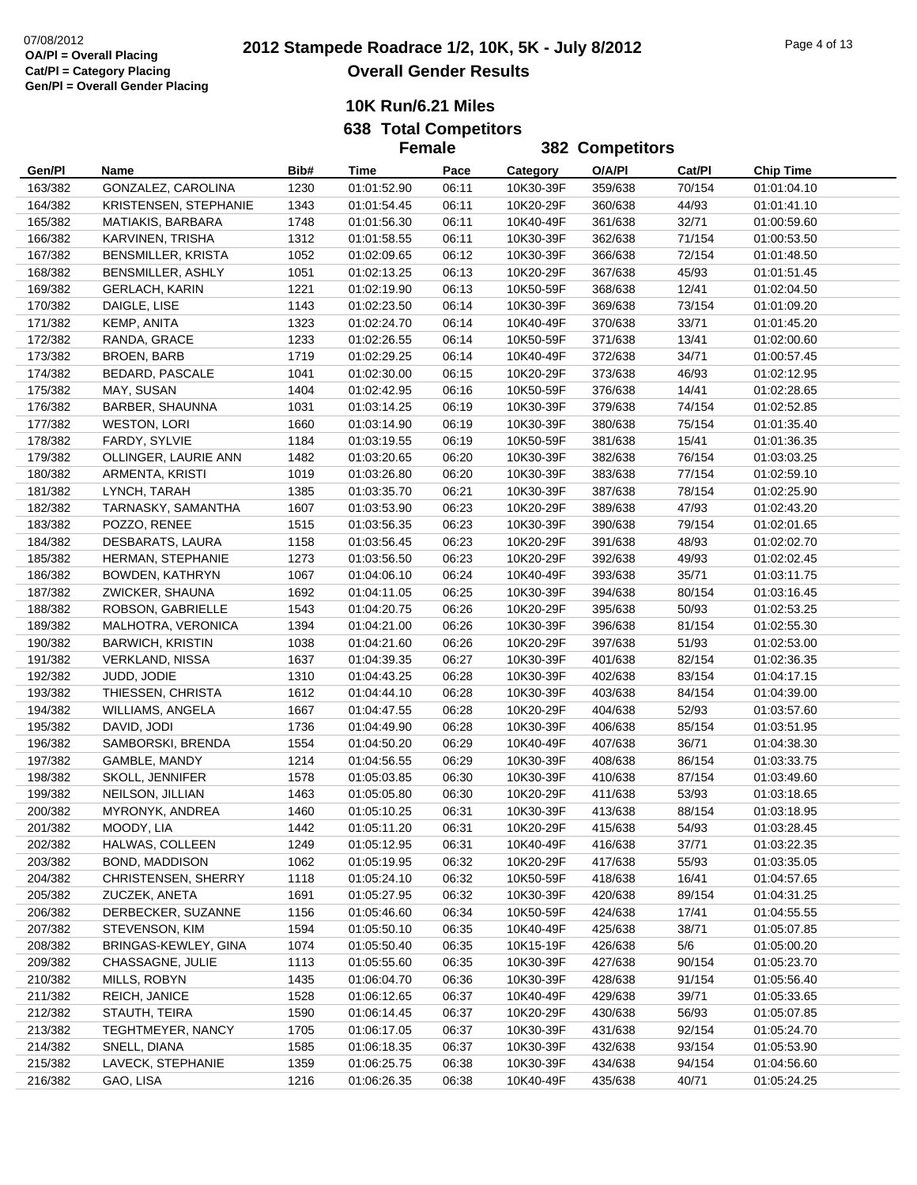**638 Total Competitors Female**

|                    |                                       |      | <b>Female</b> |       |           | <b>382 Competitors</b> |        |                  |
|--------------------|---------------------------------------|------|---------------|-------|-----------|------------------------|--------|------------------|
| Gen/Pl             | Name                                  | Bib# | Time          | Pace  | Category  | O/A/PI                 | Cat/PI | <b>Chip Time</b> |
| 163/382            | GONZALEZ, CAROLINA                    | 1230 | 01:01:52.90   | 06:11 | 10K30-39F | 359/638                | 70/154 | 01:01:04.10      |
| 164/382            | KRISTENSEN, STEPHANIE                 | 1343 | 01:01:54.45   | 06:11 | 10K20-29F | 360/638                | 44/93  | 01:01:41.10      |
| 165/382            | MATIAKIS, BARBARA                     | 1748 | 01:01:56.30   | 06:11 | 10K40-49F | 361/638                | 32/71  | 01:00:59.60      |
| 166/382            | KARVINEN, TRISHA                      | 1312 | 01:01:58.55   | 06:11 | 10K30-39F | 362/638                | 71/154 | 01:00:53.50      |
| 167/382            | BENSMILLER, KRISTA                    | 1052 | 01:02:09.65   | 06:12 | 10K30-39F | 366/638                | 72/154 | 01:01:48.50      |
| 168/382            | BENSMILLER, ASHLY                     | 1051 | 01:02:13.25   | 06:13 | 10K20-29F | 367/638                | 45/93  | 01:01:51.45      |
| 169/382            | <b>GERLACH, KARIN</b>                 | 1221 | 01:02:19.90   | 06:13 | 10K50-59F | 368/638                | 12/41  | 01:02:04.50      |
| 170/382            | DAIGLE, LISE                          | 1143 | 01:02:23.50   | 06:14 | 10K30-39F | 369/638                | 73/154 | 01:01:09.20      |
| 171/382            | KEMP, ANITA                           | 1323 | 01:02:24.70   | 06:14 | 10K40-49F | 370/638                | 33/71  | 01:01:45.20      |
| 172/382            | RANDA, GRACE                          | 1233 | 01:02:26.55   | 06:14 | 10K50-59F | 371/638                | 13/41  | 01:02:00.60      |
| 173/382            | <b>BROEN, BARB</b>                    | 1719 | 01:02:29.25   | 06:14 | 10K40-49F | 372/638                | 34/71  | 01:00:57.45      |
| 174/382            | BEDARD, PASCALE                       | 1041 | 01:02:30.00   | 06:15 | 10K20-29F | 373/638                | 46/93  | 01:02:12.95      |
| 175/382            | MAY, SUSAN                            | 1404 | 01:02:42.95   | 06:16 | 10K50-59F | 376/638                | 14/41  | 01:02:28.65      |
| 176/382            | BARBER, SHAUNNA                       | 1031 | 01:03:14.25   | 06:19 | 10K30-39F | 379/638                | 74/154 | 01:02:52.85      |
| 177/382            | <b>WESTON, LORI</b>                   | 1660 | 01:03:14.90   | 06:19 | 10K30-39F | 380/638                | 75/154 | 01:01:35.40      |
| 178/382            | FARDY, SYLVIE                         | 1184 | 01:03:19.55   | 06:19 | 10K50-59F | 381/638                | 15/41  | 01:01:36.35      |
| 179/382            | OLLINGER, LAURIE ANN                  | 1482 | 01:03:20.65   | 06:20 | 10K30-39F | 382/638                | 76/154 | 01:03:03.25      |
| 180/382            | ARMENTA, KRISTI                       | 1019 | 01:03:26.80   | 06:20 | 10K30-39F | 383/638                | 77/154 | 01:02:59.10      |
| 181/382            | LYNCH, TARAH                          | 1385 | 01:03:35.70   | 06:21 | 10K30-39F | 387/638                | 78/154 | 01:02:25.90      |
|                    |                                       | 1607 | 01:03:53.90   | 06:23 | 10K20-29F |                        | 47/93  | 01:02:43.20      |
| 182/382<br>183/382 | TARNASKY, SAMANTHA<br>POZZO, RENEE    | 1515 | 01:03:56.35   | 06:23 | 10K30-39F | 389/638<br>390/638     | 79/154 |                  |
|                    |                                       |      |               |       |           |                        |        | 01:02:01.65      |
| 184/382            | DESBARATS, LAURA<br>HERMAN, STEPHANIE | 1158 | 01:03:56.45   | 06:23 | 10K20-29F | 391/638                | 48/93  | 01:02:02.70      |
| 185/382            |                                       | 1273 | 01:03:56.50   | 06:23 | 10K20-29F | 392/638                | 49/93  | 01:02:02.45      |
| 186/382            | BOWDEN, KATHRYN                       | 1067 | 01:04:06.10   | 06:24 | 10K40-49F | 393/638                | 35/71  | 01:03:11.75      |
| 187/382            | ZWICKER, SHAUNA                       | 1692 | 01:04:11.05   | 06:25 | 10K30-39F | 394/638                | 80/154 | 01:03:16.45      |
| 188/382            | ROBSON, GABRIELLE                     | 1543 | 01:04:20.75   | 06:26 | 10K20-29F | 395/638                | 50/93  | 01:02:53.25      |
| 189/382            | MALHOTRA, VERONICA                    | 1394 | 01:04:21.00   | 06:26 | 10K30-39F | 396/638                | 81/154 | 01:02:55.30      |
| 190/382            | <b>BARWICH, KRISTIN</b>               | 1038 | 01:04:21.60   | 06:26 | 10K20-29F | 397/638                | 51/93  | 01:02:53.00      |
| 191/382            | <b>VERKLAND, NISSA</b>                | 1637 | 01:04:39.35   | 06:27 | 10K30-39F | 401/638                | 82/154 | 01:02:36.35      |
| 192/382            | JUDD, JODIE                           | 1310 | 01:04:43.25   | 06:28 | 10K30-39F | 402/638                | 83/154 | 01:04:17.15      |
| 193/382            | THIESSEN, CHRISTA                     | 1612 | 01:04:44.10   | 06:28 | 10K30-39F | 403/638                | 84/154 | 01:04:39.00      |
| 194/382            | WILLIAMS, ANGELA                      | 1667 | 01:04:47.55   | 06:28 | 10K20-29F | 404/638                | 52/93  | 01:03:57.60      |
| 195/382            | DAVID, JODI                           | 1736 | 01:04:49.90   | 06:28 | 10K30-39F | 406/638                | 85/154 | 01:03:51.95      |
| 196/382            | SAMBORSKI, BRENDA                     | 1554 | 01:04:50.20   | 06:29 | 10K40-49F | 407/638                | 36/71  | 01:04:38.30      |
| 197/382            | GAMBLE, MANDY                         | 1214 | 01:04:56.55   | 06:29 | 10K30-39F | 408/638                | 86/154 | 01:03:33.75      |
| 198/382            | SKOLL, JENNIFER                       | 1578 | 01:05:03.85   | 06:30 | 10K30-39F | 410/638                | 87/154 | 01:03:49.60      |
| 199/382            | NEILSON, JILLIAN                      | 1463 | 01:05:05.80   | 06:30 | 10K20-29F | 411/638                | 53/93  | 01:03:18.65      |
| 200/382            | MYRONYK, ANDREA                       | 1460 | 01:05:10.25   | 06:31 | 10K30-39F | 413/638                | 88/154 | 01:03:18.95      |
| 201/382            | MOODY, LIA                            | 1442 | 01:05:11.20   | 06:31 | 10K20-29F | 415/638                | 54/93  | 01:03:28.45      |
| 202/382            | HALWAS, COLLEEN                       | 1249 | 01:05:12.95   | 06:31 | 10K40-49F | 416/638                | 37/71  | 01:03:22.35      |
| 203/382            | BOND, MADDISON                        | 1062 | 01:05:19.95   | 06:32 | 10K20-29F | 417/638                | 55/93  | 01:03:35.05      |
| 204/382            | CHRISTENSEN, SHERRY                   | 1118 | 01:05:24.10   | 06:32 | 10K50-59F | 418/638                | 16/41  | 01:04:57.65      |
| 205/382            | ZUCZEK, ANETA                         | 1691 | 01:05:27.95   | 06:32 | 10K30-39F | 420/638                | 89/154 | 01:04:31.25      |
| 206/382            | DERBECKER, SUZANNE                    | 1156 | 01:05:46.60   | 06:34 | 10K50-59F | 424/638                | 17/41  | 01:04:55.55      |
| 207/382            | STEVENSON, KIM                        | 1594 | 01:05:50.10   | 06:35 | 10K40-49F | 425/638                | 38/71  | 01:05:07.85      |
| 208/382            | BRINGAS-KEWLEY, GINA                  | 1074 | 01:05:50.40   | 06:35 | 10K15-19F | 426/638                | 5/6    | 01:05:00.20      |
| 209/382            | CHASSAGNE, JULIE                      | 1113 | 01:05:55.60   | 06:35 | 10K30-39F | 427/638                | 90/154 | 01:05:23.70      |
| 210/382            | MILLS, ROBYN                          | 1435 | 01:06:04.70   | 06:36 | 10K30-39F | 428/638                | 91/154 | 01:05:56.40      |
| 211/382            | REICH, JANICE                         | 1528 | 01:06:12.65   | 06:37 | 10K40-49F | 429/638                | 39/71  | 01:05:33.65      |
| 212/382            | STAUTH, TEIRA                         | 1590 | 01:06:14.45   | 06:37 | 10K20-29F | 430/638                | 56/93  | 01:05:07.85      |
| 213/382            | TEGHTMEYER, NANCY                     | 1705 | 01:06:17.05   | 06:37 | 10K30-39F | 431/638                | 92/154 | 01:05:24.70      |
| 214/382            | SNELL, DIANA                          | 1585 | 01:06:18.35   | 06:37 | 10K30-39F | 432/638                | 93/154 | 01:05:53.90      |
| 215/382            | LAVECK, STEPHANIE                     | 1359 | 01:06:25.75   | 06:38 | 10K30-39F | 434/638                | 94/154 | 01:04:56.60      |
| 216/382            | GAO, LISA                             | 1216 | 01:06:26.35   | 06:38 | 10K40-49F | 435/638                | 40/71  | 01:05:24.25      |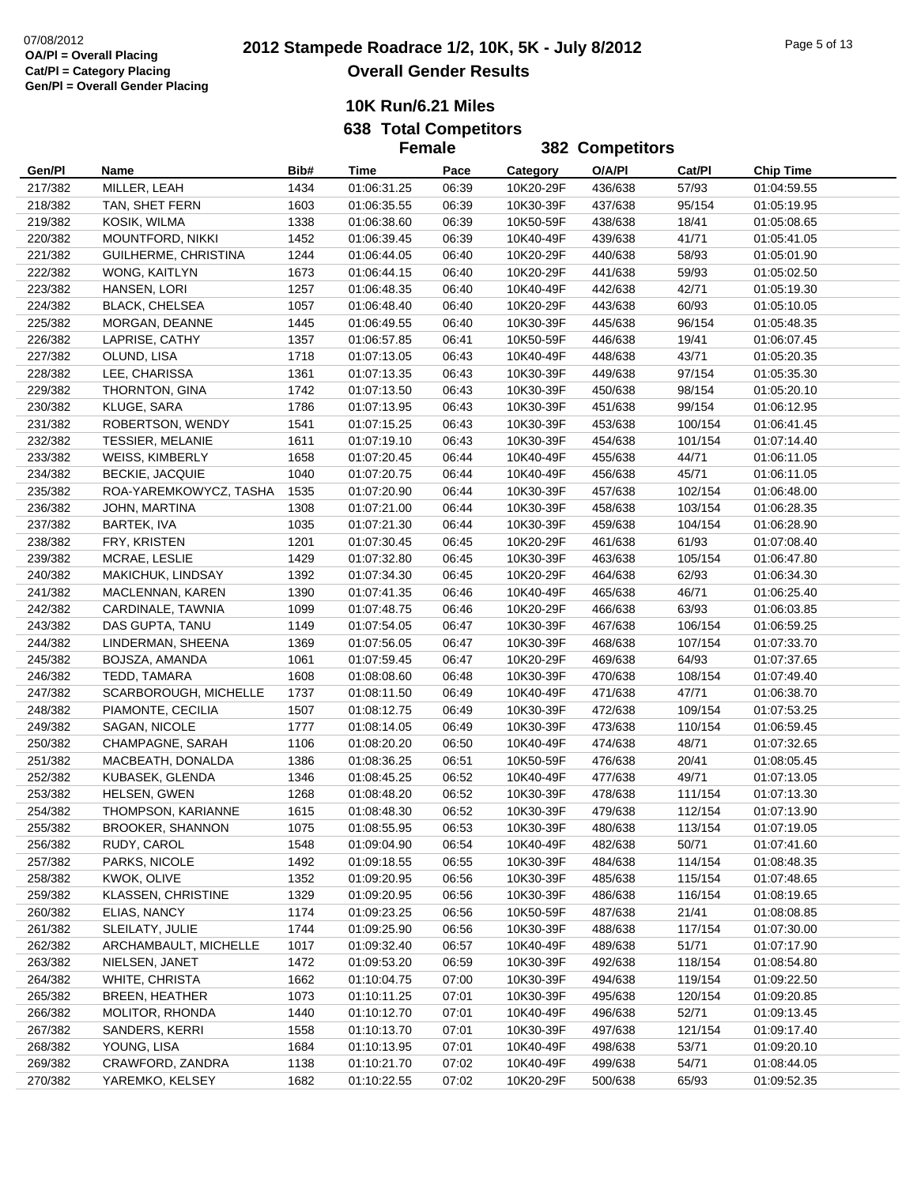|                    |                                          |              | <b>Female</b>              |                | <b>382 Competitors</b> |                    |                  |                            |
|--------------------|------------------------------------------|--------------|----------------------------|----------------|------------------------|--------------------|------------------|----------------------------|
| Gen/Pl             | Name                                     | Bib#         | Time                       | Pace           | Category               | O/A/PI             | Cat/Pl           | <b>Chip Time</b>           |
| 217/382            | MILLER, LEAH                             | 1434         | 01:06:31.25                | 06:39          | 10K20-29F              | 436/638            | 57/93            | 01:04:59.55                |
| 218/382            | TAN, SHET FERN                           | 1603         | 01:06:35.55                | 06:39          | 10K30-39F              | 437/638            | 95/154           | 01:05:19.95                |
| 219/382            | KOSIK, WILMA                             | 1338         | 01:06:38.60                | 06:39          | 10K50-59F              | 438/638            | 18/41            | 01:05:08.65                |
| 220/382            | MOUNTFORD, NIKKI                         | 1452         | 01:06:39.45                | 06:39          | 10K40-49F              | 439/638            | 41/71            | 01:05:41.05                |
| 221/382            | GUILHERME, CHRISTINA                     | 1244         | 01:06:44.05                | 06:40          | 10K20-29F              | 440/638            | 58/93            | 01:05:01.90                |
| 222/382            | WONG, KAITLYN                            | 1673         | 01:06:44.15                | 06:40          | 10K20-29F              | 441/638            | 59/93            | 01:05:02.50                |
| 223/382            | HANSEN, LORI                             | 1257         | 01:06:48.35                | 06:40          | 10K40-49F              | 442/638            | 42/71            | 01:05:19.30                |
| 224/382            | <b>BLACK, CHELSEA</b>                    | 1057         | 01:06:48.40                | 06:40          | 10K20-29F              | 443/638            | 60/93            | 01:05:10.05                |
| 225/382            | MORGAN, DEANNE                           | 1445         | 01:06:49.55                | 06:40          | 10K30-39F              | 445/638            | 96/154           | 01:05:48.35                |
| 226/382            | LAPRISE, CATHY                           | 1357         | 01:06:57.85                | 06:41          | 10K50-59F              | 446/638            | 19/41            | 01:06:07.45                |
| 227/382            | OLUND, LISA                              | 1718         | 01:07:13.05                | 06:43          | 10K40-49F              | 448/638            | 43/71            | 01:05:20.35                |
| 228/382            | LEE, CHARISSA                            | 1361         | 01:07:13.35                | 06:43          | 10K30-39F              | 449/638            | 97/154           | 01:05:35.30                |
| 229/382            | THORNTON, GINA                           | 1742         | 01:07:13.50                | 06:43          | 10K30-39F              | 450/638            | 98/154           | 01:05:20.10                |
| 230/382            | KLUGE, SARA                              | 1786         | 01:07:13.95                | 06:43          | 10K30-39F              | 451/638            | 99/154           | 01:06:12.95                |
| 231/382            | ROBERTSON, WENDY                         | 1541         | 01:07:15.25                | 06:43          | 10K30-39F              | 453/638            | 100/154          | 01:06:41.45                |
| 232/382            | TESSIER, MELANIE                         | 1611         | 01:07:19.10                | 06:43          | 10K30-39F              | 454/638            | 101/154          | 01:07:14.40                |
| 233/382            | <b>WEISS, KIMBERLY</b>                   | 1658         | 01:07:20.45                | 06:44          | 10K40-49F              | 455/638            | 44/71            | 01:06:11.05                |
| 234/382            | <b>BECKIE, JACQUIE</b>                   | 1040         | 01:07:20.75                | 06:44          | 10K40-49F              | 456/638            | 45/71            | 01:06:11.05                |
| 235/382            | ROA-YAREMKOWYCZ, TASHA                   | 1535         | 01:07:20.90                | 06:44          | 10K30-39F              | 457/638            | 102/154          | 01:06:48.00                |
| 236/382            | JOHN, MARTINA                            | 1308         | 01:07:21.00                | 06:44          | 10K30-39F              | 458/638            | 103/154          | 01:06:28.35                |
| 237/382            | BARTEK, IVA                              | 1035         | 01:07:21.30                | 06:44          | 10K30-39F              | 459/638            | 104/154          | 01:06:28.90                |
| 238/382            | FRY, KRISTEN                             | 1201         | 01:07:30.45                | 06:45          | 10K20-29F              | 461/638            | 61/93            | 01:07:08.40                |
| 239/382            | MCRAE, LESLIE                            | 1429         | 01:07:32.80                | 06:45          | 10K30-39F              | 463/638            | 105/154          | 01:06:47.80                |
| 240/382            | MAKICHUK, LINDSAY                        | 1392         | 01:07:34.30                | 06:45          | 10K20-29F              | 464/638            | 62/93            | 01:06:34.30                |
| 241/382            | MACLENNAN, KAREN                         | 1390         | 01:07:41.35                | 06:46          | 10K40-49F              | 465/638            | 46/71            | 01:06:25.40                |
| 242/382            | CARDINALE, TAWNIA                        | 1099         | 01:07:48.75                | 06:46          | 10K20-29F              | 466/638            | 63/93            | 01:06:03.85                |
| 243/382            | DAS GUPTA, TANU                          | 1149         | 01:07:54.05                | 06:47          | 10K30-39F              | 467/638            | 106/154          | 01:06:59.25                |
| 244/382            | LINDERMAN, SHEENA                        | 1369         | 01:07:56.05                | 06:47          | 10K30-39F              | 468/638            | 107/154          | 01:07:33.70                |
| 245/382            | BOJSZA, AMANDA                           | 1061         | 01:07:59.45                | 06:47          | 10K20-29F              | 469/638            | 64/93            | 01:07:37.65                |
| 246/382            | TEDD, TAMARA                             | 1608         | 01:08:08.60                | 06:48          | 10K30-39F              | 470/638            | 108/154          | 01:07:49.40                |
| 247/382            | SCARBOROUGH, MICHELLE                    | 1737         | 01:08:11.50                | 06:49          | 10K40-49F              | 471/638            | 47/71            | 01:06:38.70                |
| 248/382            | PIAMONTE, CECILIA                        | 1507         | 01:08:12.75                | 06:49          | 10K30-39F              | 472/638            | 109/154          | 01:07:53.25                |
| 249/382            | SAGAN, NICOLE                            | 1777         | 01:08:14.05                | 06:49          | 10K30-39F              | 473/638            | 110/154          | 01:06:59.45                |
| 250/382            | CHAMPAGNE, SARAH                         | 1106         | 01:08:20.20                | 06:50          | 10K40-49F              | 474/638            | 48/71            | 01:07:32.65                |
| 251/382            | MACBEATH, DONALDA                        | 1386         | 01:08:36.25                | 06:51          | 10K50-59F              | 476/638            | 20/41            | 01:08:05.45                |
| 252/382            | KUBASEK, GLENDA                          | 1346         | 01:08:45.25                | 06:52          | 10K40-49F              | 477/638            | 49/71            | 01:07:13.05                |
| 253/382            | HELSEN, GWEN                             | 1268         | 01:08:48.20                | 06:52          | 10K30-39F              | 478/638            | 111/154          | 01:07:13.30                |
| 254/382            | THOMPSON, KARIANNE                       | 1615         | 01:08:48.30                | 06:52          | 10K30-39F              | 479/638            | 112/154          | 01:07:13.90                |
| 255/382            | <b>BROOKER, SHANNON</b>                  | 1075         | 01:08:55.95                | 06:53          | 10K30-39F              | 480/638            | 113/154          | 01:07:19.05                |
| 256/382            | RUDY, CAROL                              | 1548         | 01:09:04.90                | 06:54          | 10K40-49F              | 482/638            | 50/71            | 01:07:41.60                |
| 257/382            | PARKS, NICOLE                            | 1492         | 01:09:18.55                | 06:55          | 10K30-39F              | 484/638<br>485/638 | 114/154          | 01:08:48.35                |
| 258/382            | KWOK, OLIVE<br><b>KLASSEN, CHRISTINE</b> | 1352         | 01:09:20.95                | 06:56          | 10K30-39F              |                    | 115/154          | 01:07:48.65                |
| 259/382            |                                          | 1329         | 01:09:20.95                | 06:56          | 10K30-39F              | 486/638<br>487/638 | 116/154          | 01:08:19.65                |
| 260/382            | ELIAS, NANCY                             | 1174         | 01:09:23.25                | 06:56          | 10K50-59F              |                    | 21/41            | 01:08:08.85                |
| 261/382<br>262/382 | SLEILATY, JULIE                          | 1744         | 01:09:25.90                | 06:56          | 10K30-39F              | 488/638            | 117/154          | 01:07:30.00<br>01:07:17.90 |
| 263/382            | ARCHAMBAULT, MICHELLE<br>NIELSEN, JANET  | 1017<br>1472 | 01:09:32.40<br>01:09:53.20 | 06:57<br>06:59 | 10K40-49F<br>10K30-39F | 489/638<br>492/638 | 51/71<br>118/154 | 01:08:54.80                |
| 264/382            | WHITE, CHRISTA                           | 1662         | 01:10:04.75                | 07:00          | 10K30-39F              | 494/638            | 119/154          | 01:09:22.50                |
| 265/382            | <b>BREEN, HEATHER</b>                    | 1073         | 01:10:11.25                | 07:01          | 10K30-39F              | 495/638            | 120/154          | 01:09:20.85                |
| 266/382            | MOLITOR, RHONDA                          | 1440         | 01:10:12.70                | 07:01          | 10K40-49F              | 496/638            | 52/71            | 01:09:13.45                |
| 267/382            | SANDERS, KERRI                           | 1558         | 01:10:13.70                | 07:01          | 10K30-39F              | 497/638            | 121/154          | 01:09:17.40                |
| 268/382            | YOUNG, LISA                              | 1684         | 01:10:13.95                | 07:01          | 10K40-49F              | 498/638            | 53/71            | 01:09:20.10                |
| 269/382            | CRAWFORD, ZANDRA                         | 1138         | 01:10:21.70                | 07:02          | 10K40-49F              | 499/638            | 54/71            | 01:08:44.05                |
| 270/382            | YAREMKO, KELSEY                          | 1682         | 01:10:22.55                | 07:02          | 10K20-29F              | 500/638            | 65/93            | 01:09:52.35                |
|                    |                                          |              |                            |                |                        |                    |                  |                            |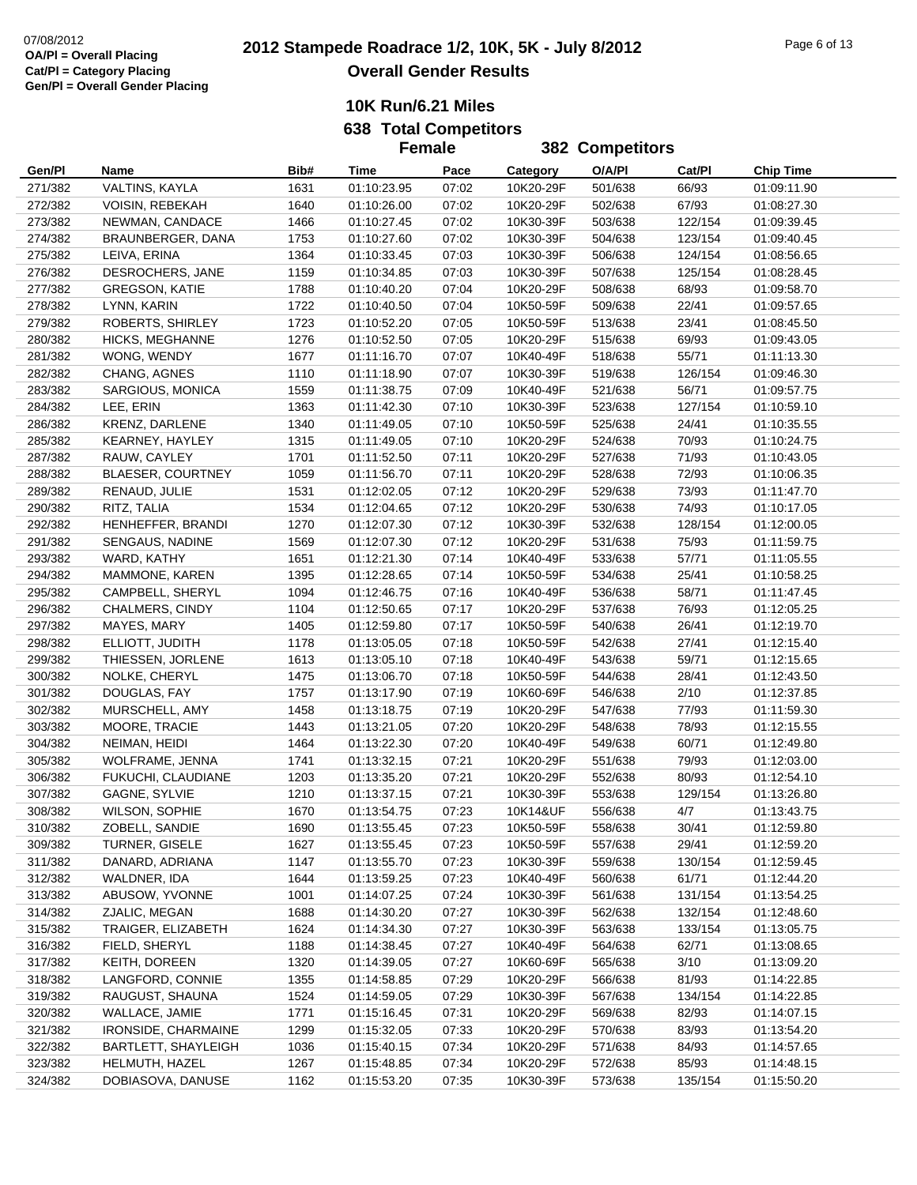|         |                            |      | <b>Female</b> |       | 382 Competitors |         |         |                  |
|---------|----------------------------|------|---------------|-------|-----------------|---------|---------|------------------|
| Gen/Pl  | Name                       | Bib# | Time          | Pace  | Category        | O/A/PI  | Cat/Pl  | <b>Chip Time</b> |
| 271/382 | VALTINS, KAYLA             | 1631 | 01:10:23.95   | 07:02 | 10K20-29F       | 501/638 | 66/93   | 01:09:11.90      |
| 272/382 | VOISIN, REBEKAH            | 1640 | 01:10:26.00   | 07:02 | 10K20-29F       | 502/638 | 67/93   | 01:08:27.30      |
| 273/382 | NEWMAN, CANDACE            | 1466 | 01:10:27.45   | 07:02 | 10K30-39F       | 503/638 | 122/154 | 01:09:39.45      |
| 274/382 | BRAUNBERGER, DANA          | 1753 | 01:10:27.60   | 07:02 | 10K30-39F       | 504/638 | 123/154 | 01:09:40.45      |
| 275/382 | LEIVA, ERINA               | 1364 | 01:10:33.45   | 07:03 | 10K30-39F       | 506/638 | 124/154 | 01:08:56.65      |
| 276/382 | DESROCHERS, JANE           | 1159 | 01:10:34.85   | 07:03 | 10K30-39F       | 507/638 | 125/154 | 01:08:28.45      |
| 277/382 | <b>GREGSON, KATIE</b>      | 1788 | 01:10:40.20   | 07:04 | 10K20-29F       | 508/638 | 68/93   | 01:09:58.70      |
| 278/382 | LYNN, KARIN                | 1722 | 01:10:40.50   | 07:04 | 10K50-59F       | 509/638 | 22/41   | 01:09:57.65      |
| 279/382 | ROBERTS, SHIRLEY           | 1723 | 01:10:52.20   | 07:05 | 10K50-59F       | 513/638 | 23/41   | 01:08:45.50      |
| 280/382 | <b>HICKS, MEGHANNE</b>     | 1276 | 01:10:52.50   | 07:05 | 10K20-29F       | 515/638 | 69/93   | 01:09:43.05      |
| 281/382 | WONG, WENDY                | 1677 | 01:11:16.70   | 07:07 | 10K40-49F       | 518/638 | 55/71   | 01:11:13.30      |
| 282/382 | CHANG, AGNES               | 1110 | 01:11:18.90   | 07:07 | 10K30-39F       | 519/638 | 126/154 | 01:09:46.30      |
| 283/382 | SARGIOUS, MONICA           | 1559 | 01:11:38.75   | 07:09 | 10K40-49F       | 521/638 | 56/71   | 01:09:57.75      |
| 284/382 | LEE, ERIN                  | 1363 | 01:11:42.30   | 07:10 | 10K30-39F       | 523/638 | 127/154 | 01:10:59.10      |
| 286/382 | <b>KRENZ, DARLENE</b>      | 1340 | 01:11:49.05   | 07:10 | 10K50-59F       | 525/638 | 24/41   | 01:10:35.55      |
| 285/382 | KEARNEY, HAYLEY            | 1315 | 01:11:49.05   | 07:10 | 10K20-29F       | 524/638 | 70/93   | 01:10:24.75      |
| 287/382 | RAUW, CAYLEY               | 1701 | 01:11:52.50   | 07:11 | 10K20-29F       | 527/638 | 71/93   | 01:10:43.05      |
| 288/382 | BLAESER, COURTNEY          | 1059 | 01:11:56.70   | 07:11 | 10K20-29F       | 528/638 | 72/93   | 01:10:06.35      |
| 289/382 | RENAUD, JULIE              | 1531 | 01:12:02.05   | 07:12 | 10K20-29F       | 529/638 | 73/93   | 01:11:47.70      |
| 290/382 | RITZ, TALIA                | 1534 | 01:12:04.65   | 07:12 | 10K20-29F       | 530/638 | 74/93   | 01:10:17.05      |
| 292/382 | HENHEFFER, BRANDI          | 1270 | 01:12:07.30   | 07:12 | 10K30-39F       | 532/638 | 128/154 | 01:12:00.05      |
| 291/382 | SENGAUS, NADINE            | 1569 | 01:12:07.30   | 07:12 | 10K20-29F       | 531/638 | 75/93   | 01:11:59.75      |
| 293/382 | WARD, KATHY                | 1651 | 01:12:21.30   | 07:14 | 10K40-49F       | 533/638 | 57/71   | 01:11:05.55      |
| 294/382 | MAMMONE, KAREN             | 1395 | 01:12:28.65   | 07:14 | 10K50-59F       | 534/638 | 25/41   | 01:10:58.25      |
| 295/382 | CAMPBELL, SHERYL           | 1094 | 01:12:46.75   | 07:16 | 10K40-49F       | 536/638 | 58/71   | 01:11:47.45      |
| 296/382 | CHALMERS, CINDY            | 1104 | 01:12:50.65   | 07:17 | 10K20-29F       | 537/638 | 76/93   | 01:12:05.25      |
| 297/382 | MAYES, MARY                | 1405 | 01:12:59.80   | 07:17 | 10K50-59F       | 540/638 | 26/41   | 01:12:19.70      |
| 298/382 | ELLIOTT, JUDITH            | 1178 | 01:13:05.05   | 07:18 | 10K50-59F       | 542/638 | 27/41   | 01:12:15.40      |
| 299/382 | THIESSEN, JORLENE          | 1613 | 01:13:05.10   | 07:18 | 10K40-49F       | 543/638 | 59/71   | 01:12:15.65      |
| 300/382 | NOLKE, CHERYL              | 1475 | 01:13:06.70   | 07:18 | 10K50-59F       | 544/638 | 28/41   | 01:12:43.50      |
| 301/382 | DOUGLAS, FAY               | 1757 | 01:13:17.90   | 07:19 | 10K60-69F       | 546/638 | 2/10    | 01:12:37.85      |
| 302/382 | MURSCHELL, AMY             | 1458 | 01:13:18.75   | 07:19 | 10K20-29F       | 547/638 | 77/93   | 01:11:59.30      |
| 303/382 | MOORE, TRACIE              | 1443 | 01:13:21.05   | 07:20 | 10K20-29F       | 548/638 | 78/93   | 01:12:15.55      |
| 304/382 | NEIMAN, HEIDI              | 1464 | 01:13:22.30   | 07:20 | 10K40-49F       | 549/638 | 60/71   | 01:12:49.80      |
| 305/382 | WOLFRAME, JENNA            | 1741 | 01:13:32.15   | 07:21 | 10K20-29F       | 551/638 | 79/93   | 01:12:03.00      |
| 306/382 | FUKUCHI, CLAUDIANE         | 1203 | 01:13:35.20   | 07:21 | 10K20-29F       | 552/638 | 80/93   | 01:12:54.10      |
| 307/382 | GAGNE, SYLVIE              | 1210 | 01:13:37.15   | 07:21 | 10K30-39F       | 553/638 | 129/154 | 01:13:26.80      |
| 308/382 | WILSON, SOPHIE             | 1670 | 01:13:54.75   | 07:23 | 10K14&UF        | 556/638 | 4/7     | 01:13:43.75      |
| 310/382 | ZOBELL, SANDIE             | 1690 | 01:13:55.45   | 07:23 | 10K50-59F       | 558/638 | 30/41   | 01:12:59.80      |
| 309/382 | TURNER, GISELE             | 1627 | 01:13:55.45   | 07:23 | 10K50-59F       | 557/638 | 29/41   | 01:12:59.20      |
| 311/382 | DANARD, ADRIANA            | 1147 | 01:13:55.70   | 07:23 | 10K30-39F       | 559/638 | 130/154 | 01:12:59.45      |
| 312/382 | WALDNER, IDA               | 1644 | 01:13:59.25   | 07:23 | 10K40-49F       | 560/638 | 61/71   | 01:12:44.20      |
| 313/382 | ABUSOW, YVONNE             | 1001 | 01:14:07.25   | 07:24 | 10K30-39F       | 561/638 | 131/154 | 01:13:54.25      |
| 314/382 | ZJALIC, MEGAN              | 1688 | 01:14:30.20   | 07:27 | 10K30-39F       | 562/638 | 132/154 | 01:12:48.60      |
| 315/382 | <b>TRAIGER, ELIZABETH</b>  | 1624 | 01:14:34.30   | 07:27 | 10K30-39F       | 563/638 | 133/154 | 01:13:05.75      |
| 316/382 | FIELD, SHERYL              | 1188 | 01:14:38.45   | 07:27 | 10K40-49F       | 564/638 | 62/71   | 01:13:08.65      |
| 317/382 | KEITH, DOREEN              | 1320 | 01:14:39.05   | 07:27 | 10K60-69F       | 565/638 | 3/10    | 01:13:09.20      |
| 318/382 | LANGFORD, CONNIE           | 1355 | 01:14:58.85   | 07:29 | 10K20-29F       | 566/638 | 81/93   | 01:14:22.85      |
| 319/382 | RAUGUST, SHAUNA            | 1524 | 01:14:59.05   | 07:29 | 10K30-39F       | 567/638 | 134/154 | 01:14:22.85      |
| 320/382 | WALLACE, JAMIE             | 1771 | 01:15:16.45   | 07:31 | 10K20-29F       | 569/638 | 82/93   | 01:14:07.15      |
| 321/382 | <b>IRONSIDE, CHARMAINE</b> | 1299 | 01:15:32.05   | 07:33 | 10K20-29F       | 570/638 | 83/93   | 01:13:54.20      |
| 322/382 | BARTLETT, SHAYLEIGH        | 1036 | 01:15:40.15   | 07:34 | 10K20-29F       | 571/638 | 84/93   | 01:14:57.65      |
| 323/382 | HELMUTH, HAZEL             | 1267 | 01:15:48.85   | 07:34 | 10K20-29F       | 572/638 | 85/93   | 01:14:48.15      |
| 324/382 | DOBIASOVA, DANUSE          | 1162 | 01:15:53.20   | 07:35 | 10K30-39F       | 573/638 | 135/154 | 01:15:50.20      |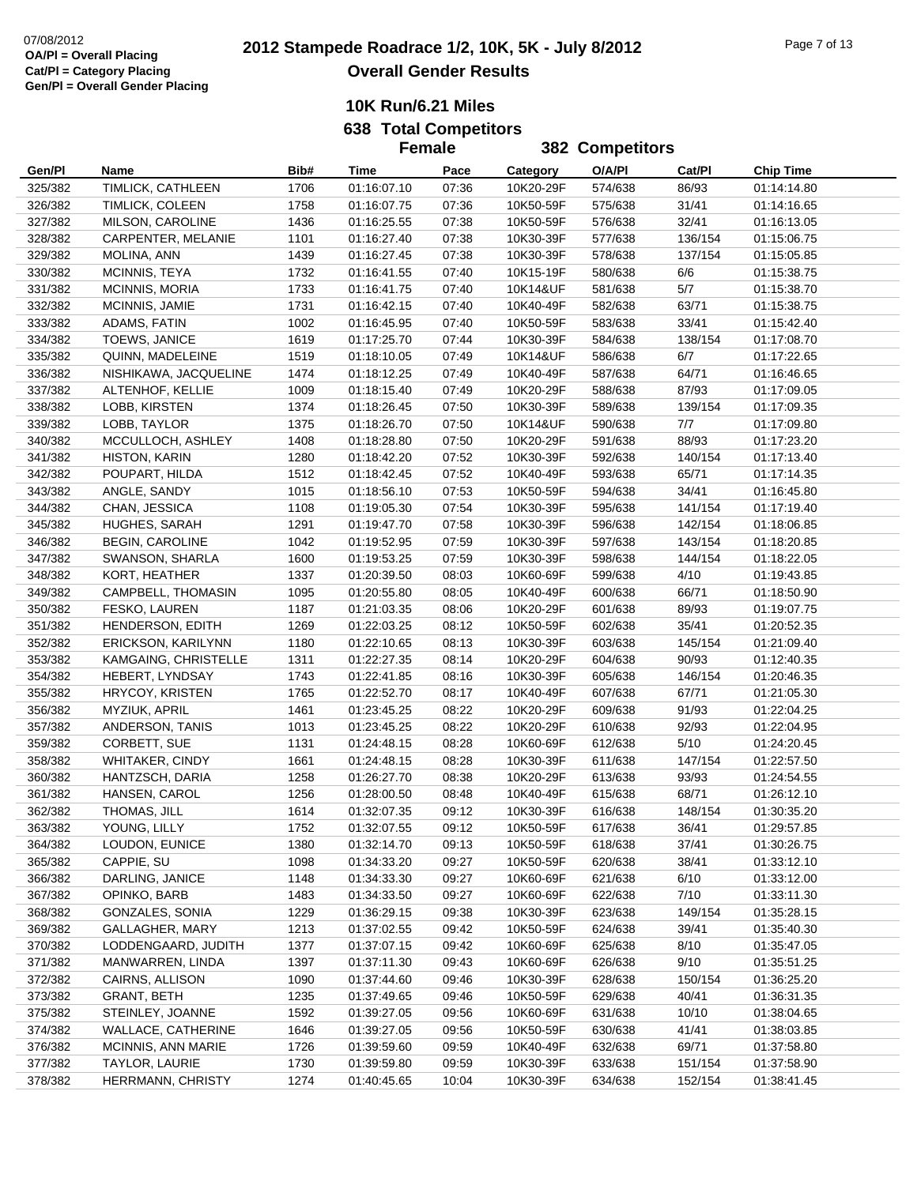|         |                           |      | <b>Female</b>              |       |           | <b>382 Competitors</b> |         |                  |
|---------|---------------------------|------|----------------------------|-------|-----------|------------------------|---------|------------------|
| Gen/Pl  | Name                      | Bib# | Time                       | Pace  | Category  | O/A/PI                 | Cat/Pl  | <b>Chip Time</b> |
| 325/382 | TIMLICK, CATHLEEN         | 1706 | 01:16:07.10                | 07:36 | 10K20-29F | 574/638                | 86/93   | 01:14:14.80      |
| 326/382 | TIMLICK, COLEEN           | 1758 | 01:16:07.75                | 07:36 | 10K50-59F | 575/638                | 31/41   | 01:14:16.65      |
| 327/382 | MILSON, CAROLINE          | 1436 | 01:16:25.55                | 07:38 | 10K50-59F | 576/638                | 32/41   | 01:16:13.05      |
| 328/382 | CARPENTER, MELANIE        | 1101 | 01:16:27.40                | 07:38 | 10K30-39F | 577/638                | 136/154 | 01:15:06.75      |
| 329/382 | MOLINA, ANN               | 1439 | 01:16:27.45                | 07:38 | 10K30-39F | 578/638                | 137/154 | 01:15:05.85      |
| 330/382 | MCINNIS, TEYA             | 1732 | 01:16:41.55                | 07:40 | 10K15-19F | 580/638                | 6/6     | 01:15:38.75      |
| 331/382 | MCINNIS, MORIA            | 1733 | 01:16:41.75                | 07:40 | 10K14&UF  | 581/638                | 5/7     | 01:15:38.70      |
| 332/382 | MCINNIS, JAMIE            | 1731 | 01:16:42.15                | 07:40 | 10K40-49F | 582/638                | 63/71   | 01:15:38.75      |
| 333/382 | ADAMS, FATIN              | 1002 | 01:16:45.95                | 07:40 | 10K50-59F | 583/638                | 33/41   | 01:15:42.40      |
| 334/382 | TOEWS, JANICE             | 1619 | 01:17:25.70                | 07:44 | 10K30-39F | 584/638                | 138/154 | 01:17:08.70      |
| 335/382 | QUINN, MADELEINE          | 1519 | 01:18:10.05                | 07:49 | 10K14&UF  | 586/638                | 6/7     | 01:17:22.65      |
| 336/382 | NISHIKAWA, JACQUELINE     | 1474 | 01:18:12.25                | 07:49 | 10K40-49F | 587/638                | 64/71   | 01:16:46.65      |
| 337/382 | ALTENHOF, KELLIE          | 1009 | 01:18:15.40                | 07:49 | 10K20-29F | 588/638                | 87/93   | 01:17:09.05      |
| 338/382 | LOBB, KIRSTEN             | 1374 | 01:18:26.45                | 07:50 | 10K30-39F | 589/638                | 139/154 | 01:17:09.35      |
| 339/382 | LOBB, TAYLOR              | 1375 | 01:18:26.70                | 07:50 | 10K14&UF  | 590/638                | 7/7     | 01:17:09.80      |
| 340/382 | MCCULLOCH, ASHLEY         | 1408 | 01:18:28.80                | 07:50 | 10K20-29F | 591/638                | 88/93   | 01:17:23.20      |
| 341/382 | HISTON, KARIN             | 1280 | 01:18:42.20                | 07:52 | 10K30-39F | 592/638                | 140/154 | 01:17:13.40      |
| 342/382 | POUPART, HILDA            | 1512 | 01:18:42.45                | 07:52 | 10K40-49F | 593/638                | 65/71   | 01:17:14.35      |
| 343/382 | ANGLE, SANDY              | 1015 |                            | 07:53 | 10K50-59F | 594/638                | 34/41   |                  |
| 344/382 |                           | 1108 | 01:18:56.10<br>01:19:05.30 | 07:54 | 10K30-39F |                        | 141/154 | 01:16:45.80      |
|         | CHAN, JESSICA             |      |                            |       |           | 595/638                |         | 01:17:19.40      |
| 345/382 | HUGHES, SARAH             | 1291 | 01:19:47.70                | 07:58 | 10K30-39F | 596/638                | 142/154 | 01:18:06.85      |
| 346/382 | <b>BEGIN, CAROLINE</b>    | 1042 | 01:19:52.95                | 07:59 | 10K30-39F | 597/638                | 143/154 | 01:18:20.85      |
| 347/382 | SWANSON, SHARLA           | 1600 | 01:19:53.25                | 07:59 | 10K30-39F | 598/638                | 144/154 | 01:18:22.05      |
| 348/382 | KORT, HEATHER             | 1337 | 01:20:39.50                | 08:03 | 10K60-69F | 599/638                | 4/10    | 01:19:43.85      |
| 349/382 | CAMPBELL, THOMASIN        | 1095 | 01:20:55.80                | 08:05 | 10K40-49F | 600/638                | 66/71   | 01:18:50.90      |
| 350/382 | FESKO, LAUREN             | 1187 | 01:21:03.35                | 08:06 | 10K20-29F | 601/638                | 89/93   | 01:19:07.75      |
| 351/382 | HENDERSON, EDITH          | 1269 | 01:22:03.25                | 08:12 | 10K50-59F | 602/638                | 35/41   | 01:20:52.35      |
| 352/382 | <b>ERICKSON, KARILYNN</b> | 1180 | 01:22:10.65                | 08:13 | 10K30-39F | 603/638                | 145/154 | 01:21:09.40      |
| 353/382 | KAMGAING, CHRISTELLE      | 1311 | 01:22:27.35                | 08:14 | 10K20-29F | 604/638                | 90/93   | 01:12:40.35      |
| 354/382 | HEBERT, LYNDSAY           | 1743 | 01:22:41.85                | 08:16 | 10K30-39F | 605/638                | 146/154 | 01:20:46.35      |
| 355/382 | <b>HRYCOY, KRISTEN</b>    | 1765 | 01:22:52.70                | 08:17 | 10K40-49F | 607/638                | 67/71   | 01:21:05.30      |
| 356/382 | MYZIUK, APRIL             | 1461 | 01:23:45.25                | 08:22 | 10K20-29F | 609/638                | 91/93   | 01:22:04.25      |
| 357/382 | ANDERSON, TANIS           | 1013 | 01:23:45.25                | 08:22 | 10K20-29F | 610/638                | 92/93   | 01:22:04.95      |
| 359/382 | CORBETT, SUE              | 1131 | 01:24:48.15                | 08:28 | 10K60-69F | 612/638                | 5/10    | 01:24:20.45      |
| 358/382 | <b>WHITAKER, CINDY</b>    | 1661 | 01:24:48.15                | 08:28 | 10K30-39F | 611/638                | 147/154 | 01:22:57.50      |
| 360/382 | HANTZSCH, DARIA           | 1258 | 01:26:27.70                | 08:38 | 10K20-29F | 613/638                | 93/93   | 01:24:54.55      |
| 361/382 | HANSEN, CAROL             | 1256 | 01:28:00.50                | 08:48 | 10K40-49F | 615/638                | 68/71   | 01:26:12.10      |
| 362/382 | THOMAS, JILL              | 1614 | 01:32:07.35                | 09:12 | 10K30-39F | 616/638                | 148/154 | 01:30:35.20      |
| 363/382 | YOUNG, LILLY              | 1752 | 01:32:07.55                | 09:12 | 10K50-59F | 617/638                | 36/41   | 01:29:57.85      |
| 364/382 | LOUDON, EUNICE            | 1380 | 01:32:14.70                | 09:13 | 10K50-59F | 618/638                | 37/41   | 01:30:26.75      |
| 365/382 | CAPPIE, SU                | 1098 | 01:34:33.20                | 09:27 | 10K50-59F | 620/638                | 38/41   | 01:33:12.10      |
| 366/382 | DARLING, JANICE           | 1148 | 01:34:33.30                | 09:27 | 10K60-69F | 621/638                | 6/10    | 01:33:12.00      |
| 367/382 | OPINKO, BARB              | 1483 | 01:34:33.50                | 09:27 | 10K60-69F | 622/638                | 7/10    | 01:33:11.30      |
| 368/382 | GONZALES, SONIA           | 1229 | 01:36:29.15                | 09:38 | 10K30-39F | 623/638                | 149/154 | 01:35:28.15      |
| 369/382 | GALLAGHER, MARY           | 1213 | 01:37:02.55                | 09:42 | 10K50-59F | 624/638                | 39/41   | 01:35:40.30      |
| 370/382 | LODDENGAARD, JUDITH       | 1377 | 01:37:07.15                | 09:42 | 10K60-69F | 625/638                | 8/10    | 01:35:47.05      |
| 371/382 | MANWARREN, LINDA          | 1397 | 01:37:11.30                | 09:43 | 10K60-69F | 626/638                | 9/10    | 01:35:51.25      |
| 372/382 | CAIRNS, ALLISON           | 1090 | 01:37:44.60                | 09:46 | 10K30-39F | 628/638                | 150/154 | 01:36:25.20      |
| 373/382 | <b>GRANT, BETH</b>        | 1235 | 01:37:49.65                | 09:46 | 10K50-59F | 629/638                | 40/41   | 01:36:31.35      |
| 375/382 | STEINLEY, JOANNE          | 1592 | 01:39:27.05                | 09:56 | 10K60-69F | 631/638                | 10/10   | 01:38:04.65      |
| 374/382 | WALLACE, CATHERINE        | 1646 | 01:39:27.05                | 09:56 | 10K50-59F | 630/638                | 41/41   | 01:38:03.85      |
| 376/382 | MCINNIS, ANN MARIE        | 1726 | 01:39:59.60                | 09:59 | 10K40-49F | 632/638                | 69/71   | 01:37:58.80      |
| 377/382 | <b>TAYLOR, LAURIE</b>     | 1730 | 01:39:59.80                | 09:59 | 10K30-39F | 633/638                | 151/154 | 01:37:58.90      |
| 378/382 | HERRMANN, CHRISTY         | 1274 | 01:40:45.65                | 10:04 | 10K30-39F | 634/638                | 152/154 | 01:38:41.45      |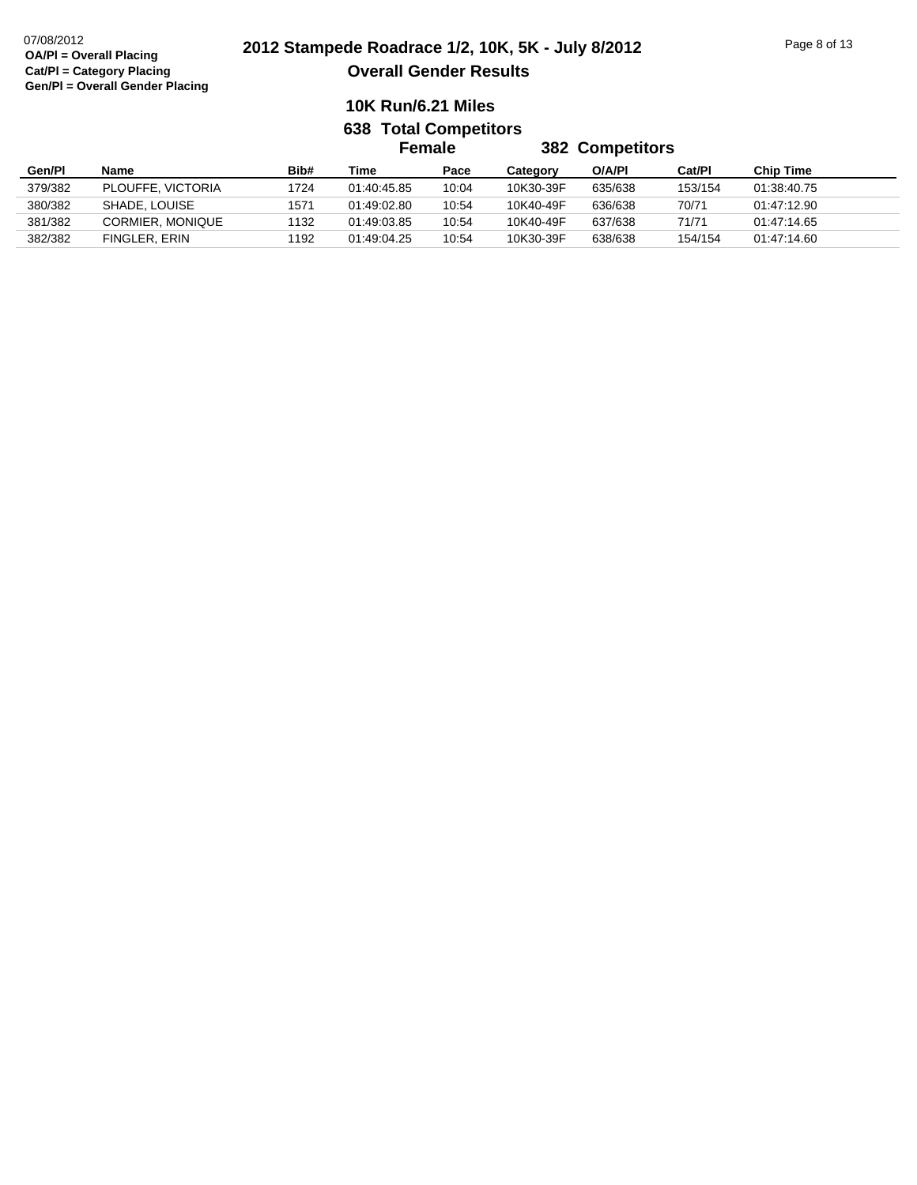|         |                         |      | Female      |       | <b>382 Competitors</b> |         |         |                  |  |
|---------|-------------------------|------|-------------|-------|------------------------|---------|---------|------------------|--|
| Gen/Pl  | <b>Name</b>             | Bib# | Time        | Pace  | Category               | O/A/PI  | Cat/Pl  | <b>Chip Time</b> |  |
| 379/382 | PLOUFFE, VICTORIA       | 1724 | 01:40:45.85 | 10:04 | 10K30-39F              | 635/638 | 153/154 | 01:38:40.75      |  |
| 380/382 | SHADE, LOUISE           | 1571 | 01:49:02.80 | 10:54 | 10K40-49F              | 636/638 | 70/71   | 01:47:12.90      |  |
| 381/382 | <b>CORMIER, MONIQUE</b> | 1132 | 01:49:03.85 | 10:54 | 10K40-49F              | 637/638 | 71/71   | 01:47:14.65      |  |
| 382/382 | FINGLER, ERIN           | 1192 | 01:49:04.25 | 10:54 | 10K30-39F              | 638/638 | 154/154 | 01:47:14.60      |  |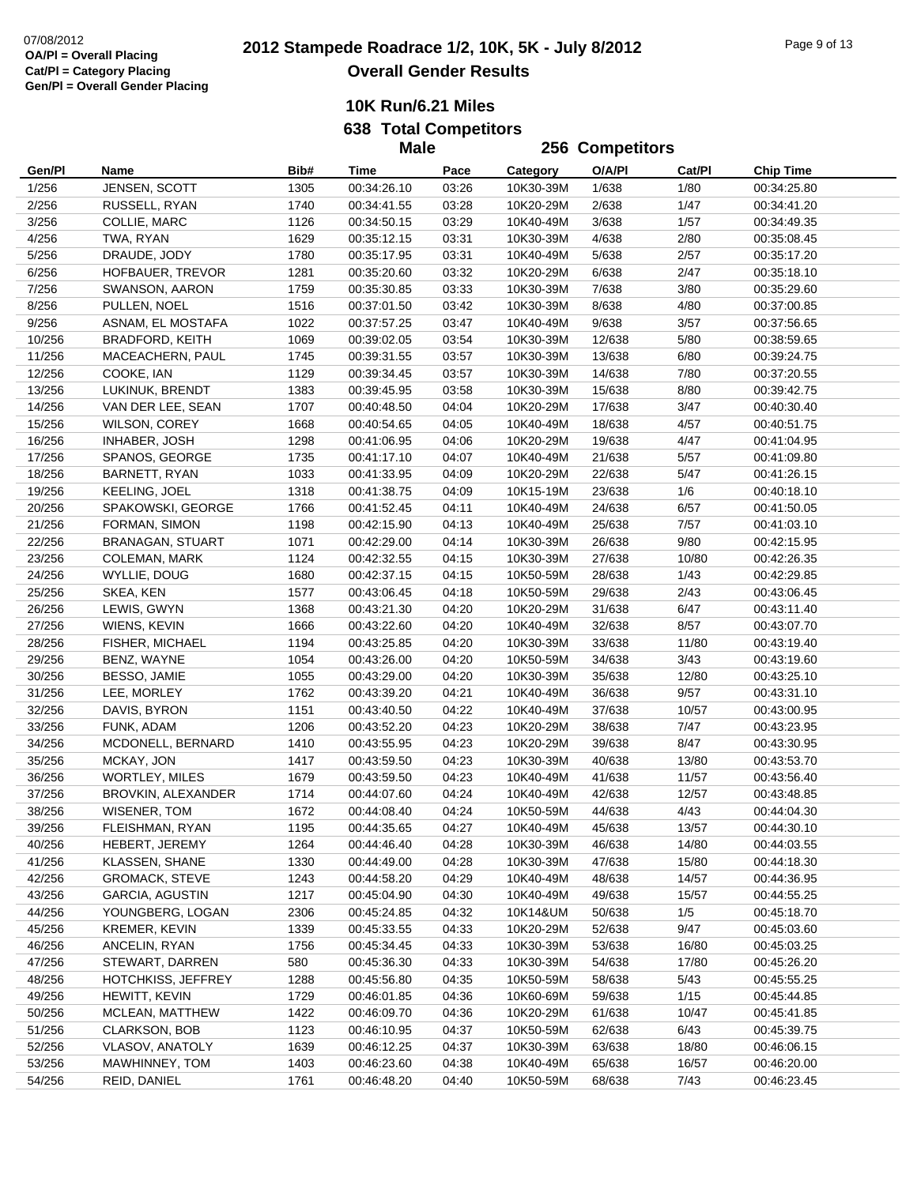**Male**

|                  |                         |      | <b>Male</b>                |       | 256 Competitors |        |        |                            |
|------------------|-------------------------|------|----------------------------|-------|-----------------|--------|--------|----------------------------|
| Gen/Pl           | Name                    | Bib# | Time                       | Pace  | Category        | O/A/PI | Cat/Pl | <b>Chip Time</b>           |
| 1/256            | JENSEN, SCOTT           | 1305 | 00:34:26.10                | 03:26 | 10K30-39M       | 1/638  | 1/80   | 00:34:25.80                |
| 2/256            | RUSSELL, RYAN           | 1740 | 00:34:41.55                | 03:28 | 10K20-29M       | 2/638  | 1/47   | 00:34:41.20                |
| 3/256            | COLLIE, MARC            | 1126 | 00:34:50.15                | 03:29 | 10K40-49M       | 3/638  | 1/57   | 00:34:49.35                |
| 4/256            | TWA, RYAN               | 1629 | 00:35:12.15                | 03:31 | 10K30-39M       | 4/638  | 2/80   | 00:35:08.45                |
| 5/256            | DRAUDE, JODY            | 1780 | 00:35:17.95                | 03:31 | 10K40-49M       | 5/638  | 2/57   | 00:35:17.20                |
| 6/256            | HOFBAUER, TREVOR        | 1281 | 00:35:20.60                | 03:32 | 10K20-29M       | 6/638  | 2/47   | 00:35:18.10                |
| 7/256            | SWANSON, AARON          | 1759 | 00:35:30.85                | 03:33 | 10K30-39M       | 7/638  | 3/80   | 00:35:29.60                |
| 8/256            | PULLEN, NOEL            | 1516 | 00:37:01.50                | 03:42 | 10K30-39M       | 8/638  | 4/80   | 00:37:00.85                |
| 9/256            | ASNAM, EL MOSTAFA       | 1022 | 00:37:57.25                | 03:47 | 10K40-49M       | 9/638  | 3/57   | 00:37:56.65                |
| 10/256           | <b>BRADFORD, KEITH</b>  | 1069 | 00:39:02.05                | 03:54 | 10K30-39M       | 12/638 | 5/80   | 00:38:59.65                |
| 11/256           | MACEACHERN, PAUL        | 1745 | 00:39:31.55                | 03:57 | 10K30-39M       | 13/638 | 6/80   | 00:39:24.75                |
| 12/256           | COOKE, IAN              | 1129 | 00:39:34.45                | 03:57 | 10K30-39M       | 14/638 | 7/80   | 00:37:20.55                |
| 13/256           | LUKINUK, BRENDT         | 1383 | 00:39:45.95                | 03:58 | 10K30-39M       | 15/638 | 8/80   | 00:39:42.75                |
| 14/256           | VAN DER LEE, SEAN       | 1707 | 00:40:48.50                | 04:04 | 10K20-29M       | 17/638 | 3/47   | 00:40:30.40                |
| 15/256           | <b>WILSON, COREY</b>    | 1668 | 00:40:54.65                | 04:05 | 10K40-49M       | 18/638 | 4/57   | 00:40:51.75                |
| 16/256           | INHABER, JOSH           | 1298 | 00:41:06.95                | 04:06 | 10K20-29M       | 19/638 | 4/47   | 00:41:04.95                |
| 17/256           | SPANOS, GEORGE          | 1735 | 00:41:17.10                | 04:07 | 10K40-49M       | 21/638 | $5/57$ | 00:41:09.80                |
| 18/256           | BARNETT, RYAN           | 1033 | 00:41:33.95                | 04:09 | 10K20-29M       | 22/638 | 5/47   | 00:41:26.15                |
|                  | KEELING, JOEL           | 1318 |                            | 04:09 | 10K15-19M       | 23/638 | 1/6    |                            |
| 19/256<br>20/256 | SPAKOWSKI, GEORGE       | 1766 | 00:41:38.75<br>00:41:52.45 | 04:11 | 10K40-49M       | 24/638 | 6/57   | 00:40:18.10<br>00:41:50.05 |
| 21/256           | FORMAN, SIMON           | 1198 | 00:42:15.90                | 04:13 | 10K40-49M       | 25/638 | 7/57   |                            |
| 22/256           | <b>BRANAGAN, STUART</b> | 1071 | 00:42:29.00                | 04:14 | 10K30-39M       | 26/638 | 9/80   | 00:41:03.10<br>00:42:15.95 |
|                  |                         |      |                            |       |                 |        |        |                            |
| 23/256           | <b>COLEMAN, MARK</b>    | 1124 | 00:42:32.55                | 04:15 | 10K30-39M       | 27/638 | 10/80  | 00:42:26.35                |
| 24/256           | WYLLIE, DOUG            | 1680 | 00:42:37.15                | 04:15 | 10K50-59M       | 28/638 | 1/43   | 00:42:29.85                |
| 25/256           | SKEA, KEN               | 1577 | 00:43:06.45                | 04:18 | 10K50-59M       | 29/638 | 2/43   | 00:43:06.45                |
| 26/256           | LEWIS, GWYN             | 1368 | 00:43:21.30                | 04:20 | 10K20-29M       | 31/638 | 6/47   | 00:43:11.40                |
| 27/256           | WIENS, KEVIN            | 1666 | 00:43:22.60                | 04:20 | 10K40-49M       | 32/638 | 8/57   | 00:43:07.70                |
| 28/256           | FISHER, MICHAEL         | 1194 | 00:43:25.85                | 04:20 | 10K30-39M       | 33/638 | 11/80  | 00:43:19.40                |
| 29/256           | BENZ, WAYNE             | 1054 | 00:43:26.00                | 04:20 | 10K50-59M       | 34/638 | 3/43   | 00:43:19.60                |
| 30/256           | BESSO, JAMIE            | 1055 | 00:43:29.00                | 04:20 | 10K30-39M       | 35/638 | 12/80  | 00:43:25.10                |
| 31/256           | LEE, MORLEY             | 1762 | 00:43:39.20                | 04:21 | 10K40-49M       | 36/638 | 9/57   | 00:43:31.10                |
| 32/256           | DAVIS, BYRON            | 1151 | 00:43:40.50                | 04:22 | 10K40-49M       | 37/638 | 10/57  | 00:43:00.95                |
| 33/256           | FUNK, ADAM              | 1206 | 00:43:52.20                | 04:23 | 10K20-29M       | 38/638 | 7/47   | 00:43:23.95                |
| 34/256           | MCDONELL, BERNARD       | 1410 | 00:43:55.95                | 04:23 | 10K20-29M       | 39/638 | 8/47   | 00:43:30.95                |
| 35/256           | MCKAY, JON              | 1417 | 00:43:59.50                | 04:23 | 10K30-39M       | 40/638 | 13/80  | 00:43:53.70                |
| 36/256           | <b>WORTLEY, MILES</b>   | 1679 | 00:43:59.50                | 04:23 | 10K40-49M       | 41/638 | 11/57  | 00:43:56.40                |
| 37/256           | BROVKIN, ALEXANDER      | 1714 | 00:44:07.60                | 04:24 | 10K40-49M       | 42/638 | 12/57  | 00:43:48.85                |
| 38/256           | WISENER, TOM            | 1672 | 00:44:08.40                | 04:24 | 10K50-59M       | 44/638 | 4/43   | 00:44:04.30                |
| 39/256           | FLEISHMAN, RYAN         | 1195 | 00:44:35.65                | 04:27 | 10K40-49M       | 45/638 | 13/57  | 00:44:30.10                |
| 40/256           | HEBERT, JEREMY          | 1264 | 00:44:46.40                | 04:28 | 10K30-39M       | 46/638 | 14/80  | 00:44:03.55                |
| 41/256           | KLASSEN, SHANE          | 1330 | 00:44:49.00                | 04:28 | 10K30-39M       | 47/638 | 15/80  | 00:44:18.30                |
| 42/256           | <b>GROMACK, STEVE</b>   | 1243 | 00:44:58.20                | 04:29 | 10K40-49M       | 48/638 | 14/57  | 00:44:36.95                |
| 43/256           | <b>GARCIA, AGUSTIN</b>  | 1217 | 00:45:04.90                | 04:30 | 10K40-49M       | 49/638 | 15/57  | 00:44:55.25                |
| 44/256           | YOUNGBERG, LOGAN        | 2306 | 00:45:24.85                | 04:32 | 10K14&UM        | 50/638 | 1/5    | 00:45:18.70                |
| 45/256           | <b>KREMER, KEVIN</b>    | 1339 | 00:45:33.55                | 04:33 | 10K20-29M       | 52/638 | 9/47   | 00:45:03.60                |
| 46/256           | ANCELIN, RYAN           | 1756 | 00:45:34.45                | 04:33 | 10K30-39M       | 53/638 | 16/80  | 00:45:03.25                |
| 47/256           | STEWART, DARREN         | 580  | 00:45:36.30                | 04:33 | 10K30-39M       | 54/638 | 17/80  | 00:45:26.20                |
| 48/256           | HOTCHKISS, JEFFREY      | 1288 | 00:45:56.80                | 04:35 | 10K50-59M       | 58/638 | 5/43   | 00:45:55.25                |
| 49/256           | HEWITT, KEVIN           | 1729 | 00:46:01.85                | 04:36 | 10K60-69M       | 59/638 | 1/15   | 00:45:44.85                |
| 50/256           | MCLEAN, MATTHEW         | 1422 | 00:46:09.70                | 04:36 | 10K20-29M       | 61/638 | 10/47  | 00:45:41.85                |
| 51/256           | <b>CLARKSON, BOB</b>    | 1123 | 00:46:10.95                | 04:37 | 10K50-59M       | 62/638 | 6/43   | 00:45:39.75                |
| 52/256           | <b>VLASOV, ANATOLY</b>  | 1639 | 00:46:12.25                | 04:37 | 10K30-39M       | 63/638 | 18/80  | 00:46:06.15                |
| 53/256           | MAWHINNEY, TOM          | 1403 | 00:46:23.60                | 04:38 | 10K40-49M       | 65/638 | 16/57  | 00:46:20.00                |
| 54/256           | REID, DANIEL            | 1761 | 00:46:48.20                | 04:40 | 10K50-59M       | 68/638 | 7/43   | 00:46:23.45                |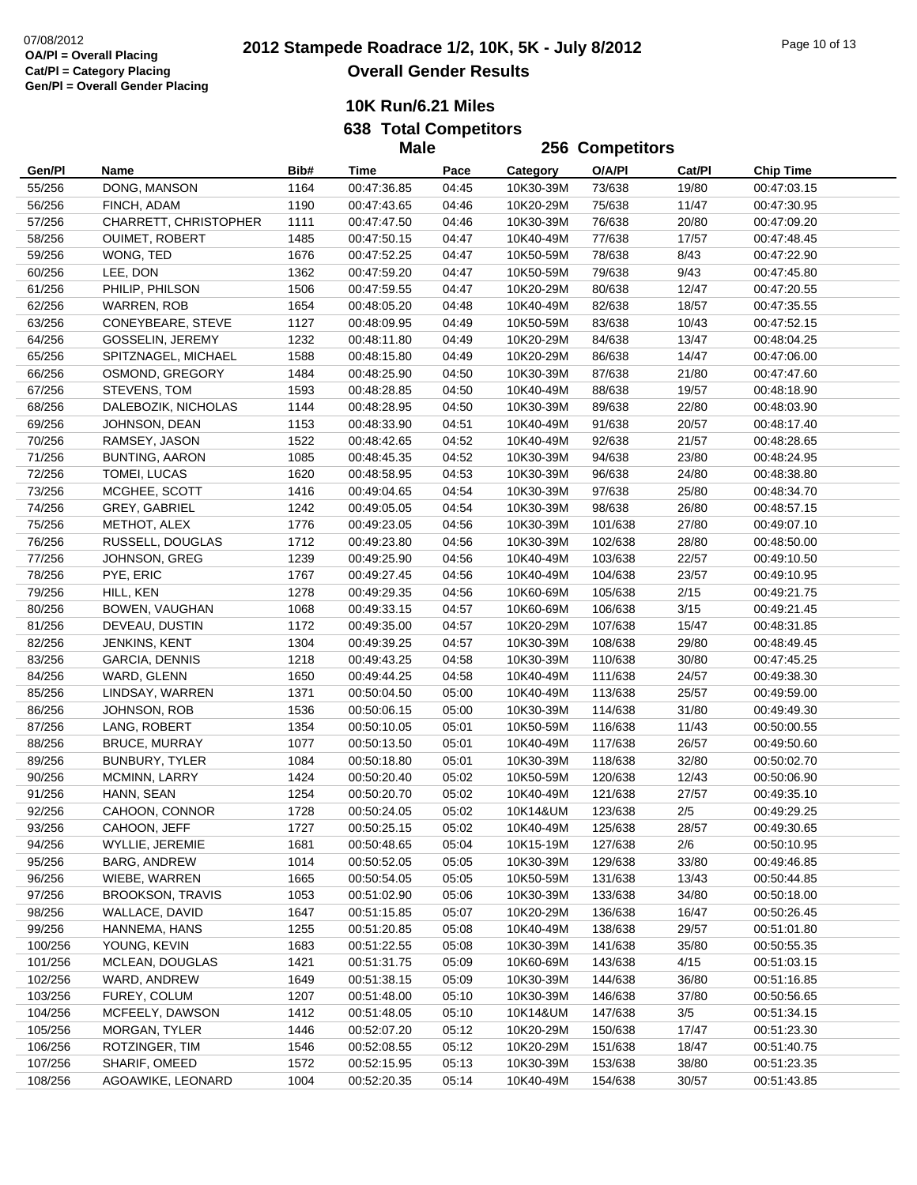**638 Total Competitors**

|         |                         |      | <b>Male</b> |       |           | 256 Competitors |        |                  |
|---------|-------------------------|------|-------------|-------|-----------|-----------------|--------|------------------|
| Gen/Pl  | Name                    | Bib# | Time        | Pace  | Category  | O/A/PI          | Cat/Pl | <b>Chip Time</b> |
| 55/256  | DONG, MANSON            | 1164 | 00:47:36.85 | 04:45 | 10K30-39M | 73/638          | 19/80  | 00:47:03.15      |
| 56/256  | FINCH, ADAM             | 1190 | 00:47:43.65 | 04:46 | 10K20-29M | 75/638          | 11/47  | 00:47:30.95      |
| 57/256  | CHARRETT, CHRISTOPHER   | 1111 | 00:47:47.50 | 04:46 | 10K30-39M | 76/638          | 20/80  | 00:47:09.20      |
| 58/256  | OUIMET, ROBERT          | 1485 | 00:47:50.15 | 04:47 | 10K40-49M | 77/638          | 17/57  | 00:47:48.45      |
| 59/256  | WONG, TED               | 1676 | 00:47:52.25 | 04:47 | 10K50-59M | 78/638          | 8/43   | 00:47:22.90      |
| 60/256  | LEE, DON                | 1362 | 00:47:59.20 | 04:47 | 10K50-59M | 79/638          | 9/43   | 00:47:45.80      |
| 61/256  | PHILIP, PHILSON         | 1506 | 00:47:59.55 | 04:47 | 10K20-29M | 80/638          | 12/47  | 00:47:20.55      |
| 62/256  | WARREN, ROB             | 1654 | 00:48:05.20 | 04:48 | 10K40-49M | 82/638          | 18/57  | 00:47:35.55      |
| 63/256  | CONEYBEARE, STEVE       | 1127 | 00:48:09.95 | 04:49 | 10K50-59M | 83/638          | 10/43  | 00:47:52.15      |
| 64/256  | GOSSELIN, JEREMY        | 1232 | 00:48:11.80 | 04:49 | 10K20-29M | 84/638          | 13/47  | 00:48:04.25      |
| 65/256  | SPITZNAGEL, MICHAEL     | 1588 | 00:48:15.80 | 04:49 | 10K20-29M | 86/638          | 14/47  | 00:47:06.00      |
| 66/256  | OSMOND, GREGORY         | 1484 | 00:48:25.90 | 04:50 | 10K30-39M | 87/638          | 21/80  | 00:47:47.60      |
| 67/256  | STEVENS, TOM            | 1593 | 00:48:28.85 | 04:50 | 10K40-49M | 88/638          | 19/57  | 00:48:18.90      |
| 68/256  | DALEBOZIK, NICHOLAS     | 1144 | 00:48:28.95 | 04:50 | 10K30-39M | 89/638          | 22/80  | 00:48:03.90      |
| 69/256  | JOHNSON, DEAN           | 1153 | 00:48:33.90 | 04:51 | 10K40-49M | 91/638          | 20/57  | 00:48:17.40      |
| 70/256  | RAMSEY, JASON           | 1522 | 00:48:42.65 | 04:52 | 10K40-49M | 92/638          | 21/57  | 00:48:28.65      |
| 71/256  | <b>BUNTING, AARON</b>   | 1085 | 00:48:45.35 | 04:52 | 10K30-39M | 94/638          | 23/80  | 00:48:24.95      |
| 72/256  | TOMEI, LUCAS            | 1620 | 00:48:58.95 | 04:53 | 10K30-39M | 96/638          | 24/80  | 00:48:38.80      |
| 73/256  | MCGHEE, SCOTT           | 1416 | 00:49:04.65 | 04:54 | 10K30-39M | 97/638          | 25/80  | 00:48:34.70      |
| 74/256  | GREY, GABRIEL           | 1242 | 00:49:05.05 | 04:54 | 10K30-39M | 98/638          | 26/80  | 00:48:57.15      |
| 75/256  | METHOT, ALEX            | 1776 | 00:49:23.05 | 04:56 | 10K30-39M | 101/638         | 27/80  | 00:49:07.10      |
| 76/256  | RUSSELL, DOUGLAS        | 1712 | 00:49:23.80 | 04:56 | 10K30-39M | 102/638         | 28/80  | 00:48:50.00      |
| 77/256  | JOHNSON, GREG           | 1239 | 00:49:25.90 | 04:56 | 10K40-49M | 103/638         | 22/57  | 00:49:10.50      |
| 78/256  | PYE, ERIC               | 1767 | 00:49:27.45 | 04:56 | 10K40-49M | 104/638         | 23/57  | 00:49:10.95      |
| 79/256  | HILL, KEN               | 1278 | 00:49:29.35 | 04:56 | 10K60-69M | 105/638         | 2/15   | 00:49:21.75      |
| 80/256  | BOWEN, VAUGHAN          | 1068 | 00:49:33.15 | 04:57 | 10K60-69M | 106/638         | $3/15$ | 00:49:21.45      |
| 81/256  | DEVEAU, DUSTIN          | 1172 | 00:49:35.00 | 04:57 | 10K20-29M | 107/638         | 15/47  | 00:48:31.85      |
| 82/256  | JENKINS, KENT           | 1304 | 00:49:39.25 | 04:57 | 10K30-39M | 108/638         | 29/80  | 00:48:49.45      |
| 83/256  | <b>GARCIA, DENNIS</b>   | 1218 | 00:49:43.25 | 04:58 | 10K30-39M | 110/638         | 30/80  | 00:47:45.25      |
| 84/256  | WARD, GLENN             | 1650 | 00:49:44.25 | 04:58 | 10K40-49M | 111/638         | 24/57  | 00:49:38.30      |
| 85/256  | LINDSAY, WARREN         | 1371 | 00:50:04.50 | 05:00 | 10K40-49M | 113/638         | 25/57  | 00:49:59.00      |
| 86/256  | JOHNSON, ROB            | 1536 | 00:50:06.15 | 05:00 | 10K30-39M | 114/638         | 31/80  | 00:49:49.30      |
| 87/256  | LANG, ROBERT            | 1354 | 00:50:10.05 | 05:01 | 10K50-59M | 116/638         | 11/43  | 00:50:00.55      |
| 88/256  | <b>BRUCE, MURRAY</b>    | 1077 | 00:50:13.50 | 05:01 | 10K40-49M | 117/638         | 26/57  | 00:49:50.60      |
| 89/256  | BUNBURY, TYLER          | 1084 | 00:50:18.80 | 05:01 | 10K30-39M | 118/638         | 32/80  | 00:50:02.70      |
| 90/256  | MCMINN, LARRY           | 1424 | 00:50:20.40 | 05:02 | 10K50-59M | 120/638         | 12/43  | 00:50:06.90      |
| 91/256  | HANN, SEAN              | 1254 | 00:50:20.70 | 05:02 | 10K40-49M | 121/638         | 27/57  | 00:49:35.10      |
| 92/256  | CAHOON, CONNOR          | 1728 | 00:50:24.05 | 05:02 | 10K14&UM  | 123/638         | 2/5    | 00:49:29.25      |
| 93/256  | CAHOON, JEFF            | 1727 | 00:50:25.15 | 05:02 | 10K40-49M | 125/638         | 28/57  | 00:49:30.65      |
| 94/256  | WYLLIE, JEREMIE         | 1681 | 00:50:48.65 | 05:04 | 10K15-19M | 127/638         | 2/6    | 00:50:10.95      |
| 95/256  | BARG, ANDREW            | 1014 | 00:50:52.05 | 05:05 | 10K30-39M | 129/638         | 33/80  | 00:49:46.85      |
| 96/256  | WIEBE, WARREN           | 1665 | 00:50:54.05 | 05:05 | 10K50-59M | 131/638         | 13/43  | 00:50:44.85      |
| 97/256  | <b>BROOKSON, TRAVIS</b> | 1053 | 00:51:02.90 | 05:06 | 10K30-39M | 133/638         | 34/80  | 00:50:18.00      |
| 98/256  | WALLACE, DAVID          | 1647 | 00:51:15.85 | 05:07 | 10K20-29M | 136/638         | 16/47  | 00:50:26.45      |
| 99/256  | HANNEMA, HANS           | 1255 | 00:51:20.85 | 05:08 | 10K40-49M | 138/638         | 29/57  | 00:51:01.80      |
| 100/256 | YOUNG, KEVIN            | 1683 | 00:51:22.55 | 05:08 | 10K30-39M | 141/638         | 35/80  | 00:50:55.35      |
| 101/256 | MCLEAN, DOUGLAS         | 1421 | 00:51:31.75 | 05:09 | 10K60-69M | 143/638         | 4/15   | 00:51:03.15      |
| 102/256 | WARD, ANDREW            | 1649 | 00:51:38.15 | 05:09 | 10K30-39M | 144/638         | 36/80  | 00:51:16.85      |
| 103/256 | FUREY, COLUM            | 1207 | 00:51:48.00 | 05:10 | 10K30-39M | 146/638         | 37/80  | 00:50:56.65      |
| 104/256 | MCFEELY, DAWSON         | 1412 | 00:51:48.05 | 05:10 | 10K14&UM  | 147/638         | $3/5$  | 00:51:34.15      |
| 105/256 | MORGAN, TYLER           | 1446 | 00:52:07.20 | 05:12 | 10K20-29M | 150/638         | 17/47  | 00:51:23.30      |
| 106/256 | ROTZINGER, TIM          | 1546 | 00:52:08.55 | 05:12 | 10K20-29M | 151/638         | 18/47  | 00:51:40.75      |
| 107/256 | SHARIF, OMEED           | 1572 | 00:52:15.95 | 05:13 | 10K30-39M | 153/638         | 38/80  | 00:51:23.35      |
| 108/256 | AGOAWIKE, LEONARD       | 1004 | 00:52:20.35 | 05:14 | 10K40-49M | 154/638         | 30/57  | 00:51:43.85      |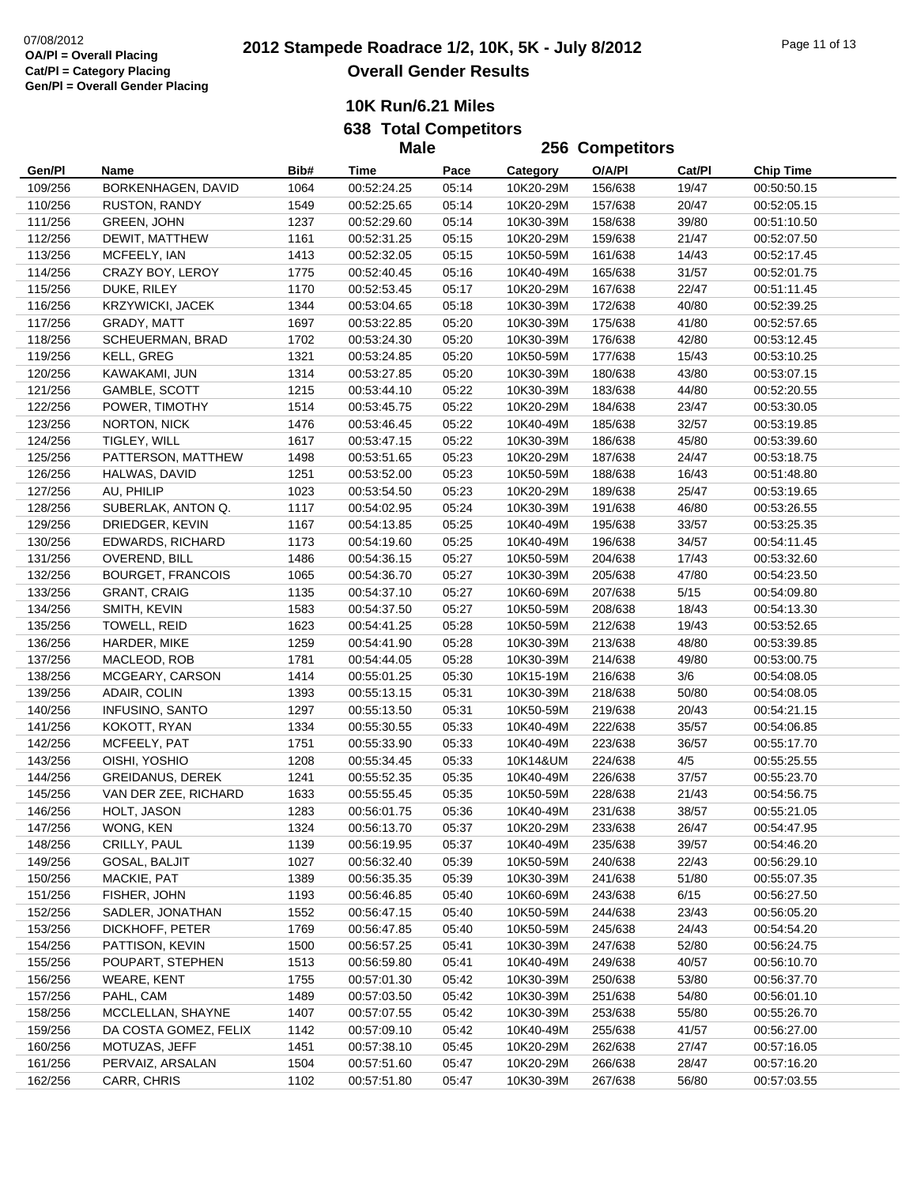**256 Competitors**

**10K Run/6.21 Miles**

**638 Total Competitors Male**

| Gen/Pl  | Name                     | Bib# | Time        | Pace  | Category  | O/A/PI  | Cat/Pl | <b>Chip Time</b> |
|---------|--------------------------|------|-------------|-------|-----------|---------|--------|------------------|
| 109/256 | BORKENHAGEN, DAVID       | 1064 | 00:52:24.25 | 05:14 | 10K20-29M | 156/638 | 19/47  | 00:50:50.15      |
| 110/256 | RUSTON, RANDY            | 1549 | 00:52:25.65 | 05:14 | 10K20-29M | 157/638 | 20/47  | 00:52:05.15      |
| 111/256 | <b>GREEN, JOHN</b>       | 1237 | 00:52:29.60 | 05:14 | 10K30-39M | 158/638 | 39/80  | 00:51:10.50      |
| 112/256 | DEWIT, MATTHEW           | 1161 | 00:52:31.25 | 05:15 | 10K20-29M | 159/638 | 21/47  | 00:52:07.50      |
| 113/256 | MCFEELY, IAN             | 1413 | 00:52:32.05 | 05:15 | 10K50-59M | 161/638 | 14/43  | 00:52:17.45      |
| 114/256 | CRAZY BOY, LEROY         | 1775 | 00:52:40.45 | 05:16 | 10K40-49M | 165/638 | 31/57  | 00:52:01.75      |
| 115/256 | DUKE, RILEY              | 1170 | 00:52:53.45 | 05:17 | 10K20-29M | 167/638 | 22/47  | 00:51:11.45      |
| 116/256 | <b>KRZYWICKI, JACEK</b>  | 1344 | 00:53:04.65 | 05:18 | 10K30-39M | 172/638 | 40/80  | 00:52:39.25      |
| 117/256 | GRADY, MATT              | 1697 | 00:53:22.85 | 05:20 | 10K30-39M | 175/638 | 41/80  | 00:52:57.65      |
| 118/256 | SCHEUERMAN, BRAD         | 1702 | 00:53:24.30 | 05:20 | 10K30-39M | 176/638 | 42/80  | 00:53:12.45      |
| 119/256 | KELL, GREG               | 1321 | 00:53:24.85 | 05:20 | 10K50-59M | 177/638 | 15/43  | 00:53:10.25      |
| 120/256 | KAWAKAMI, JUN            | 1314 | 00:53:27.85 | 05:20 | 10K30-39M | 180/638 | 43/80  | 00:53:07.15      |
| 121/256 | GAMBLE, SCOTT            | 1215 | 00:53:44.10 | 05:22 | 10K30-39M | 183/638 | 44/80  | 00:52:20.55      |
| 122/256 | POWER, TIMOTHY           | 1514 | 00:53:45.75 | 05:22 | 10K20-29M | 184/638 | 23/47  | 00:53:30.05      |
| 123/256 | <b>NORTON, NICK</b>      | 1476 | 00:53:46.45 | 05:22 | 10K40-49M | 185/638 | 32/57  | 00:53:19.85      |
| 124/256 | TIGLEY, WILL             | 1617 | 00:53:47.15 | 05:22 | 10K30-39M | 186/638 | 45/80  | 00:53:39.60      |
| 125/256 | PATTERSON, MATTHEW       | 1498 | 00:53:51.65 | 05:23 | 10K20-29M | 187/638 | 24/47  | 00:53:18.75      |
| 126/256 | HALWAS, DAVID            | 1251 | 00:53:52.00 | 05:23 | 10K50-59M | 188/638 | 16/43  | 00:51:48.80      |
| 127/256 | AU, PHILIP               | 1023 | 00:53:54.50 | 05:23 | 10K20-29M | 189/638 | 25/47  | 00:53:19.65      |
| 128/256 | SUBERLAK, ANTON Q.       | 1117 | 00:54:02.95 | 05:24 | 10K30-39M | 191/638 | 46/80  | 00:53:26.55      |
| 129/256 | DRIEDGER, KEVIN          | 1167 | 00:54:13.85 | 05:25 | 10K40-49M | 195/638 | 33/57  | 00:53:25.35      |
| 130/256 | EDWARDS, RICHARD         | 1173 | 00:54:19.60 | 05:25 | 10K40-49M | 196/638 | 34/57  | 00:54:11.45      |
| 131/256 | OVEREND, BILL            | 1486 | 00:54:36.15 | 05:27 | 10K50-59M | 204/638 | 17/43  | 00:53:32.60      |
| 132/256 | <b>BOURGET, FRANCOIS</b> | 1065 | 00:54:36.70 | 05:27 | 10K30-39M | 205/638 | 47/80  | 00:54:23.50      |
| 133/256 | <b>GRANT, CRAIG</b>      | 1135 | 00:54:37.10 | 05:27 | 10K60-69M | 207/638 | 5/15   | 00:54:09.80      |
| 134/256 | SMITH, KEVIN             | 1583 | 00:54:37.50 | 05:27 | 10K50-59M | 208/638 | 18/43  | 00:54:13.30      |
| 135/256 | TOWELL, REID             | 1623 | 00:54:41.25 | 05:28 | 10K50-59M | 212/638 | 19/43  | 00:53:52.65      |
| 136/256 | HARDER, MIKE             | 1259 | 00:54:41.90 | 05:28 | 10K30-39M | 213/638 | 48/80  | 00:53:39.85      |
| 137/256 | MACLEOD, ROB             | 1781 | 00:54:44.05 | 05:28 | 10K30-39M | 214/638 | 49/80  | 00:53:00.75      |
| 138/256 | MCGEARY, CARSON          | 1414 | 00:55:01.25 | 05:30 | 10K15-19M | 216/638 | 3/6    | 00:54:08.05      |
| 139/256 | ADAIR, COLIN             | 1393 | 00:55:13.15 | 05:31 | 10K30-39M | 218/638 | 50/80  | 00:54:08.05      |
| 140/256 | INFUSINO, SANTO          | 1297 | 00:55:13.50 | 05:31 | 10K50-59M | 219/638 | 20/43  | 00:54:21.15      |
| 141/256 | KOKOTT, RYAN             | 1334 | 00:55:30.55 | 05:33 | 10K40-49M | 222/638 | 35/57  | 00:54:06.85      |
| 142/256 | MCFEELY, PAT             | 1751 | 00:55:33.90 | 05:33 | 10K40-49M | 223/638 | 36/57  | 00:55:17.70      |
| 143/256 | OISHI, YOSHIO            | 1208 | 00:55:34.45 | 05:33 | 10K14&UM  | 224/638 | 4/5    | 00:55:25.55      |
| 144/256 | <b>GREIDANUS, DEREK</b>  | 1241 | 00:55:52.35 | 05:35 | 10K40-49M | 226/638 | 37/57  | 00:55:23.70      |
| 145/256 | VAN DER ZEE, RICHARD     | 1633 | 00:55:55.45 | 05:35 | 10K50-59M | 228/638 | 21/43  | 00:54:56.75      |
| 146/256 | HOLT, JASON              | 1283 | 00:56:01.75 | 05:36 | 10K40-49M | 231/638 | 38/57  | 00:55:21.05      |
| 147/256 | WONG, KEN                | 1324 | 00:56:13.70 | 05:37 | 10K20-29M | 233/638 | 26/47  | 00:54:47.95      |
| 148/256 | CRILLY, PAUL             | 1139 | 00:56:19.95 | 05:37 | 10K40-49M | 235/638 | 39/57  | 00:54:46.20      |
| 149/256 | GOSAL, BALJIT            | 1027 | 00:56:32.40 | 05:39 | 10K50-59M | 240/638 | 22/43  | 00:56:29.10      |
| 150/256 | MACKIE, PAT              | 1389 | 00:56:35.35 | 05:39 | 10K30-39M | 241/638 | 51/80  | 00:55:07.35      |
| 151/256 | FISHER, JOHN             | 1193 | 00:56:46.85 | 05:40 | 10K60-69M | 243/638 | 6/15   | 00:56:27.50      |
| 152/256 | SADLER, JONATHAN         | 1552 | 00:56:47.15 | 05:40 | 10K50-59M | 244/638 | 23/43  | 00:56:05.20      |
| 153/256 | DICKHOFF, PETER          | 1769 | 00:56:47.85 | 05:40 | 10K50-59M | 245/638 | 24/43  | 00:54:54.20      |
| 154/256 | PATTISON, KEVIN          | 1500 | 00:56:57.25 | 05:41 | 10K30-39M | 247/638 | 52/80  | 00:56:24.75      |
| 155/256 | POUPART, STEPHEN         | 1513 | 00:56:59.80 | 05:41 | 10K40-49M | 249/638 | 40/57  | 00:56:10.70      |
| 156/256 | WEARE, KENT              | 1755 | 00:57:01.30 | 05:42 | 10K30-39M | 250/638 | 53/80  | 00:56:37.70      |
| 157/256 | PAHL, CAM                | 1489 | 00:57:03.50 | 05:42 | 10K30-39M | 251/638 | 54/80  | 00:56:01.10      |
| 158/256 | MCCLELLAN, SHAYNE        | 1407 | 00:57:07.55 | 05:42 | 10K30-39M | 253/638 | 55/80  | 00:55:26.70      |
| 159/256 | DA COSTA GOMEZ, FELIX    | 1142 | 00:57:09.10 | 05:42 | 10K40-49M | 255/638 | 41/57  | 00:56:27.00      |
| 160/256 | MOTUZAS, JEFF            | 1451 | 00:57:38.10 | 05:45 | 10K20-29M | 262/638 | 27/47  | 00:57:16.05      |
| 161/256 | PERVAIZ, ARSALAN         | 1504 | 00:57:51.60 | 05:47 | 10K20-29M | 266/638 | 28/47  | 00:57:16.20      |
| 162/256 | CARR, CHRIS              | 1102 | 00:57:51.80 | 05:47 | 10K30-39M | 267/638 | 56/80  | 00:57:03.55      |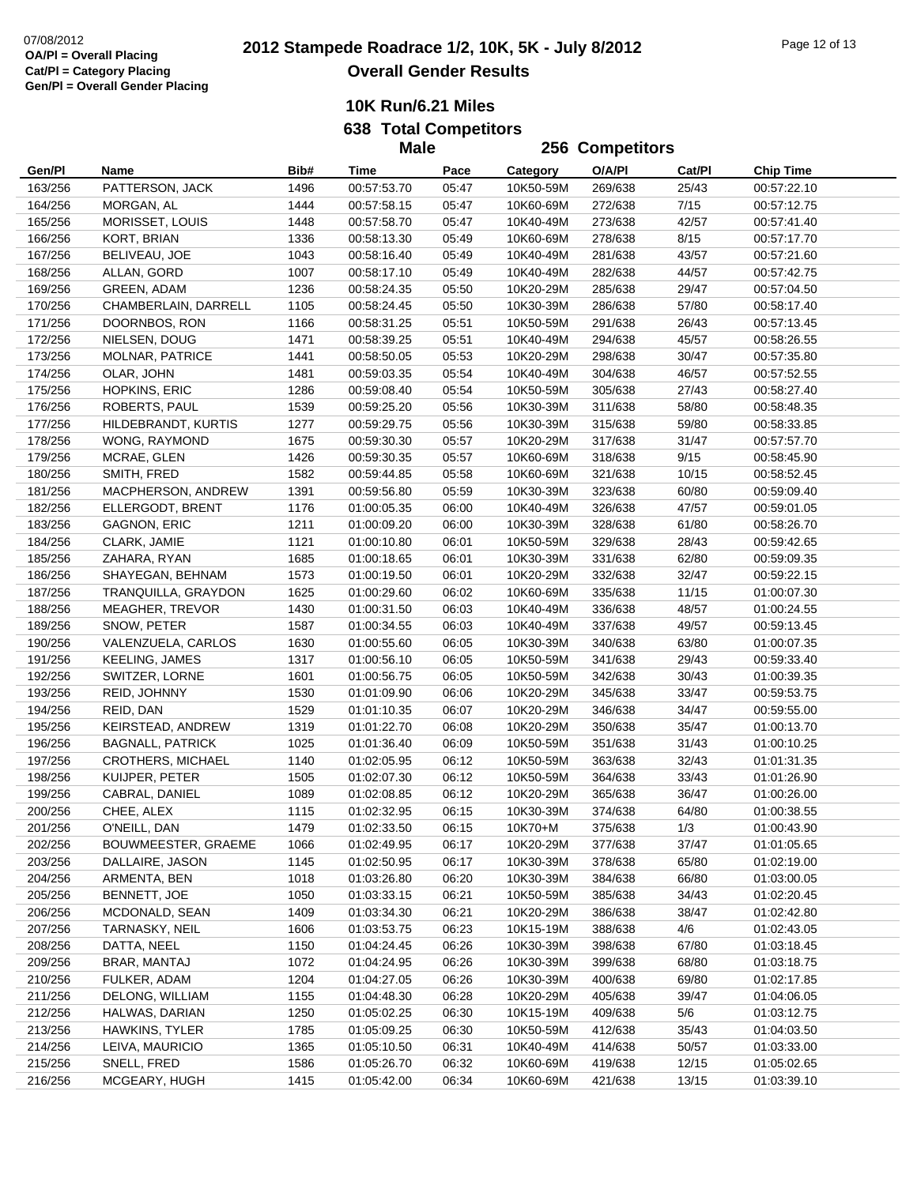**638 Total Competitors**

|         |                         |      | <b>Male</b> |       |           | 256 Competitors    |        |                  |
|---------|-------------------------|------|-------------|-------|-----------|--------------------|--------|------------------|
| Gen/Pl  | Name                    | Bib# | Time        | Pace  | Category  | O/A/PI             | Cat/Pl | <b>Chip Time</b> |
| 163/256 | PATTERSON, JACK         | 1496 | 00:57:53.70 | 05:47 | 10K50-59M | 269/638            | 25/43  | 00:57:22.10      |
| 164/256 | MORGAN, AL              | 1444 | 00:57:58.15 | 05:47 | 10K60-69M | 272/638            | 7/15   | 00:57:12.75      |
| 165/256 | MORISSET, LOUIS         | 1448 | 00:57:58.70 | 05:47 | 10K40-49M | 273/638            | 42/57  | 00:57:41.40      |
| 166/256 | KORT, BRIAN             | 1336 | 00:58:13.30 | 05:49 | 10K60-69M | 278/638            | 8/15   | 00:57:17.70      |
| 167/256 | BELIVEAU, JOE           | 1043 | 00:58:16.40 | 05:49 | 10K40-49M | 281/638            | 43/57  | 00:57:21.60      |
| 168/256 | ALLAN, GORD             | 1007 | 00:58:17.10 | 05:49 | 10K40-49M | 282/638            | 44/57  | 00:57:42.75      |
| 169/256 | GREEN, ADAM             | 1236 | 00:58:24.35 | 05:50 | 10K20-29M | 285/638            | 29/47  | 00:57:04.50      |
| 170/256 | CHAMBERLAIN, DARRELL    | 1105 | 00:58:24.45 | 05:50 | 10K30-39M | 286/638            | 57/80  | 00:58:17.40      |
| 171/256 | DOORNBOS, RON           | 1166 | 00:58:31.25 | 05:51 | 10K50-59M | 291/638            | 26/43  | 00:57:13.45      |
| 172/256 | NIELSEN, DOUG           | 1471 | 00:58:39.25 | 05:51 | 10K40-49M | 294/638            | 45/57  | 00:58:26.55      |
| 173/256 | MOLNAR, PATRICE         | 1441 | 00:58:50.05 | 05:53 | 10K20-29M | 298/638            | 30/47  | 00:57:35.80      |
| 174/256 | OLAR, JOHN              | 1481 | 00:59:03.35 | 05:54 | 10K40-49M | 304/638            | 46/57  | 00:57:52.55      |
| 175/256 | <b>HOPKINS, ERIC</b>    | 1286 | 00:59:08.40 | 05:54 | 10K50-59M | 305/638            | 27/43  | 00:58:27.40      |
| 176/256 | ROBERTS, PAUL           | 1539 | 00:59:25.20 | 05:56 | 10K30-39M | 311/638            | 58/80  | 00:58:48.35      |
| 177/256 | HILDEBRANDT, KURTIS     | 1277 | 00:59:29.75 | 05:56 | 10K30-39M | 315/638            | 59/80  | 00:58:33.85      |
| 178/256 | WONG, RAYMOND           | 1675 | 00:59:30.30 | 05:57 | 10K20-29M | 317/638            | 31/47  | 00:57:57.70      |
| 179/256 | MCRAE, GLEN             | 1426 | 00:59:30.35 | 05:57 | 10K60-69M | 318/638            | 9/15   | 00:58:45.90      |
| 180/256 | SMITH, FRED             | 1582 | 00:59:44.85 | 05:58 | 10K60-69M | 321/638            | 10/15  | 00:58:52.45      |
| 181/256 | MACPHERSON, ANDREW      | 1391 | 00:59:56.80 | 05:59 | 10K30-39M | 323/638            | 60/80  | 00:59:09.40      |
| 182/256 | ELLERGODT, BRENT        | 1176 | 01:00:05.35 | 06:00 | 10K40-49M | 326/638            | 47/57  | 00:59:01.05      |
| 183/256 | <b>GAGNON, ERIC</b>     | 1211 | 01:00:09.20 | 06:00 | 10K30-39M | 328/638            | 61/80  | 00:58:26.70      |
| 184/256 | CLARK, JAMIE            | 1121 | 01:00:10.80 | 06:01 | 10K50-59M | 329/638            | 28/43  | 00:59:42.65      |
| 185/256 | ZAHARA, RYAN            | 1685 | 01:00:18.65 | 06:01 | 10K30-39M | 331/638            | 62/80  |                  |
|         |                         |      |             |       |           |                    |        | 00:59:09.35      |
| 186/256 | SHAYEGAN, BEHNAM        | 1573 | 01:00:19.50 | 06:01 | 10K20-29M | 332/638<br>335/638 | 32/47  | 00:59:22.15      |
| 187/256 | TRANQUILLA, GRAYDON     | 1625 | 01:00:29.60 | 06:02 | 10K60-69M |                    | 11/15  | 01:00:07.30      |
| 188/256 | <b>MEAGHER, TREVOR</b>  | 1430 | 01:00:31.50 | 06:03 | 10K40-49M | 336/638            | 48/57  | 01:00:24.55      |
| 189/256 | SNOW, PETER             | 1587 | 01:00:34.55 | 06:03 | 10K40-49M | 337/638            | 49/57  | 00:59:13.45      |
| 190/256 | VALENZUELA, CARLOS      | 1630 | 01:00:55.60 | 06:05 | 10K30-39M | 340/638            | 63/80  | 01:00:07.35      |
| 191/256 | KEELING, JAMES          | 1317 | 01:00:56.10 | 06:05 | 10K50-59M | 341/638            | 29/43  | 00:59:33.40      |
| 192/256 | SWITZER, LORNE          | 1601 | 01:00:56.75 | 06:05 | 10K50-59M | 342/638            | 30/43  | 01:00:39.35      |
| 193/256 | REID, JOHNNY            | 1530 | 01:01:09.90 | 06:06 | 10K20-29M | 345/638            | 33/47  | 00:59:53.75      |
| 194/256 | REID, DAN               | 1529 | 01:01:10.35 | 06:07 | 10K20-29M | 346/638            | 34/47  | 00:59:55.00      |
| 195/256 | KEIRSTEAD, ANDREW       | 1319 | 01:01:22.70 | 06:08 | 10K20-29M | 350/638            | 35/47  | 01:00:13.70      |
| 196/256 | <b>BAGNALL, PATRICK</b> | 1025 | 01:01:36.40 | 06:09 | 10K50-59M | 351/638            | 31/43  | 01:00:10.25      |
| 197/256 | CROTHERS, MICHAEL       | 1140 | 01:02:05.95 | 06:12 | 10K50-59M | 363/638            | 32/43  | 01:01:31.35      |
| 198/256 | KUIJPER, PETER          | 1505 | 01:02:07.30 | 06:12 | 10K50-59M | 364/638            | 33/43  | 01:01:26.90      |
| 199/256 | CABRAL, DANIEL          | 1089 | 01:02:08.85 | 06:12 | 10K20-29M | 365/638            | 36/47  | 01:00:26.00      |
| 200/256 | CHEE, ALEX              | 1115 | 01:02:32.95 | 06:15 | 10K30-39M | 374/638            | 64/80  | 01:00:38.55      |
| 201/256 | O'NEILL, DAN            | 1479 | 01:02:33.50 | 06:15 | 10K70+M   | 375/638            | 1/3    | 01:00:43.90      |
| 202/256 | BOUWMEESTER, GRAEME     | 1066 | 01:02:49.95 | 06:17 | 10K20-29M | 377/638            | 37/47  | 01:01:05.65      |
| 203/256 | DALLAIRE, JASON         | 1145 | 01:02:50.95 | 06:17 | 10K30-39M | 378/638            | 65/80  | 01:02:19.00      |
| 204/256 | ARMENTA, BEN            | 1018 | 01:03:26.80 | 06:20 | 10K30-39M | 384/638            | 66/80  | 01:03:00.05      |
| 205/256 | BENNETT, JOE            | 1050 | 01:03:33.15 | 06:21 | 10K50-59M | 385/638            | 34/43  | 01:02:20.45      |
| 206/256 | MCDONALD, SEAN          | 1409 | 01:03:34.30 | 06:21 | 10K20-29M | 386/638            | 38/47  | 01:02:42.80      |
| 207/256 | TARNASKY, NEIL          | 1606 | 01:03:53.75 | 06:23 | 10K15-19M | 388/638            | 4/6    | 01:02:43.05      |
| 208/256 | DATTA, NEEL             | 1150 | 01:04:24.45 | 06:26 | 10K30-39M | 398/638            | 67/80  | 01:03:18.45      |
| 209/256 | BRAR, MANTAJ            | 1072 | 01:04:24.95 | 06:26 | 10K30-39M | 399/638            | 68/80  | 01:03:18.75      |
| 210/256 | FULKER, ADAM            | 1204 | 01:04:27.05 | 06:26 | 10K30-39M | 400/638            | 69/80  | 01:02:17.85      |
| 211/256 | DELONG, WILLIAM         | 1155 | 01:04:48.30 | 06:28 | 10K20-29M | 405/638            | 39/47  | 01:04:06.05      |
| 212/256 | HALWAS, DARIAN          | 1250 | 01:05:02.25 | 06:30 | 10K15-19M | 409/638            | 5/6    | 01:03:12.75      |
| 213/256 | <b>HAWKINS, TYLER</b>   | 1785 | 01:05:09.25 | 06:30 | 10K50-59M | 412/638            | 35/43  | 01:04:03.50      |
| 214/256 | LEIVA, MAURICIO         | 1365 | 01:05:10.50 | 06:31 | 10K40-49M | 414/638            | 50/57  | 01:03:33.00      |
| 215/256 | SNELL, FRED             | 1586 | 01:05:26.70 | 06:32 | 10K60-69M | 419/638            | 12/15  | 01:05:02.65      |
| 216/256 | MCGEARY, HUGH           | 1415 | 01:05:42.00 | 06:34 | 10K60-69M | 421/638            | 13/15  | 01:03:39.10      |